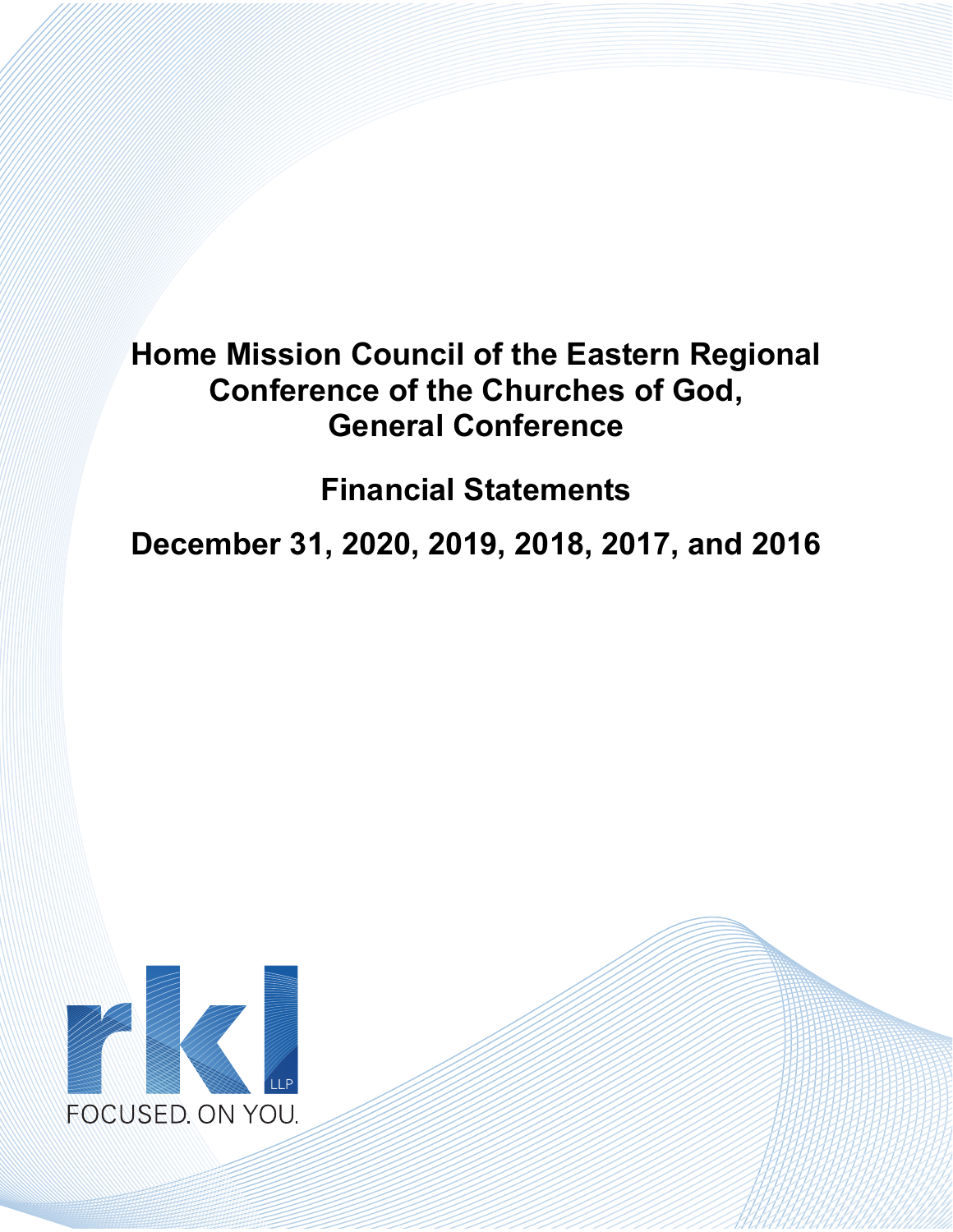**Financial Statements** 

**December 31, 2020, 2019, 2018, 2017, and 2016** 

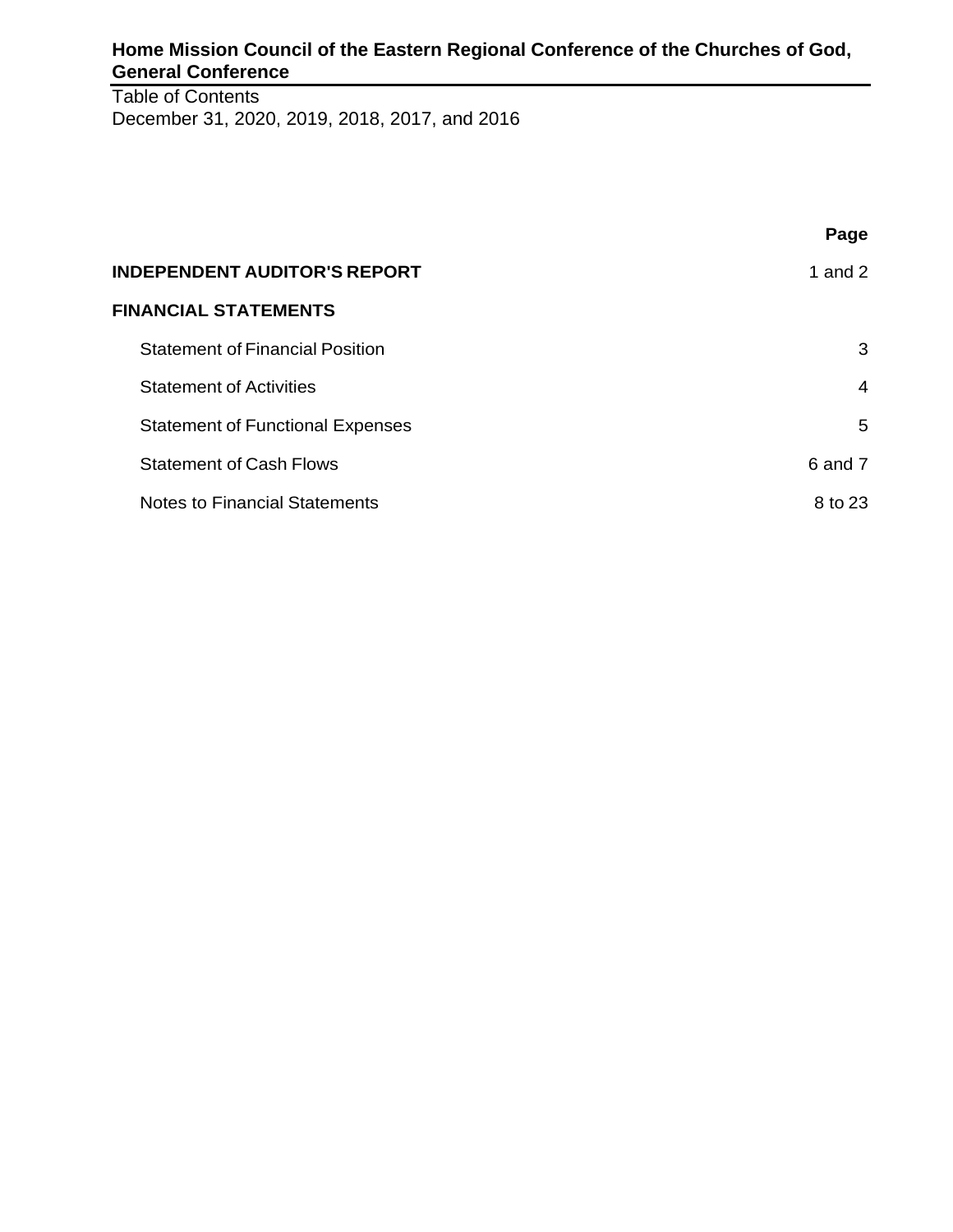Table of Contents December 31, 2020, 2019, 2018, 2017, and 2016

|                                         | Page      |
|-----------------------------------------|-----------|
| <b>INDEPENDENT AUDITOR'S REPORT</b>     | 1 and $2$ |
| <b>FINANCIAL STATEMENTS</b>             |           |
| <b>Statement of Financial Position</b>  | 3         |
| <b>Statement of Activities</b>          | 4         |
| <b>Statement of Functional Expenses</b> | 5         |
| <b>Statement of Cash Flows</b>          | 6 and 7   |
| <b>Notes to Financial Statements</b>    | 8 to 23   |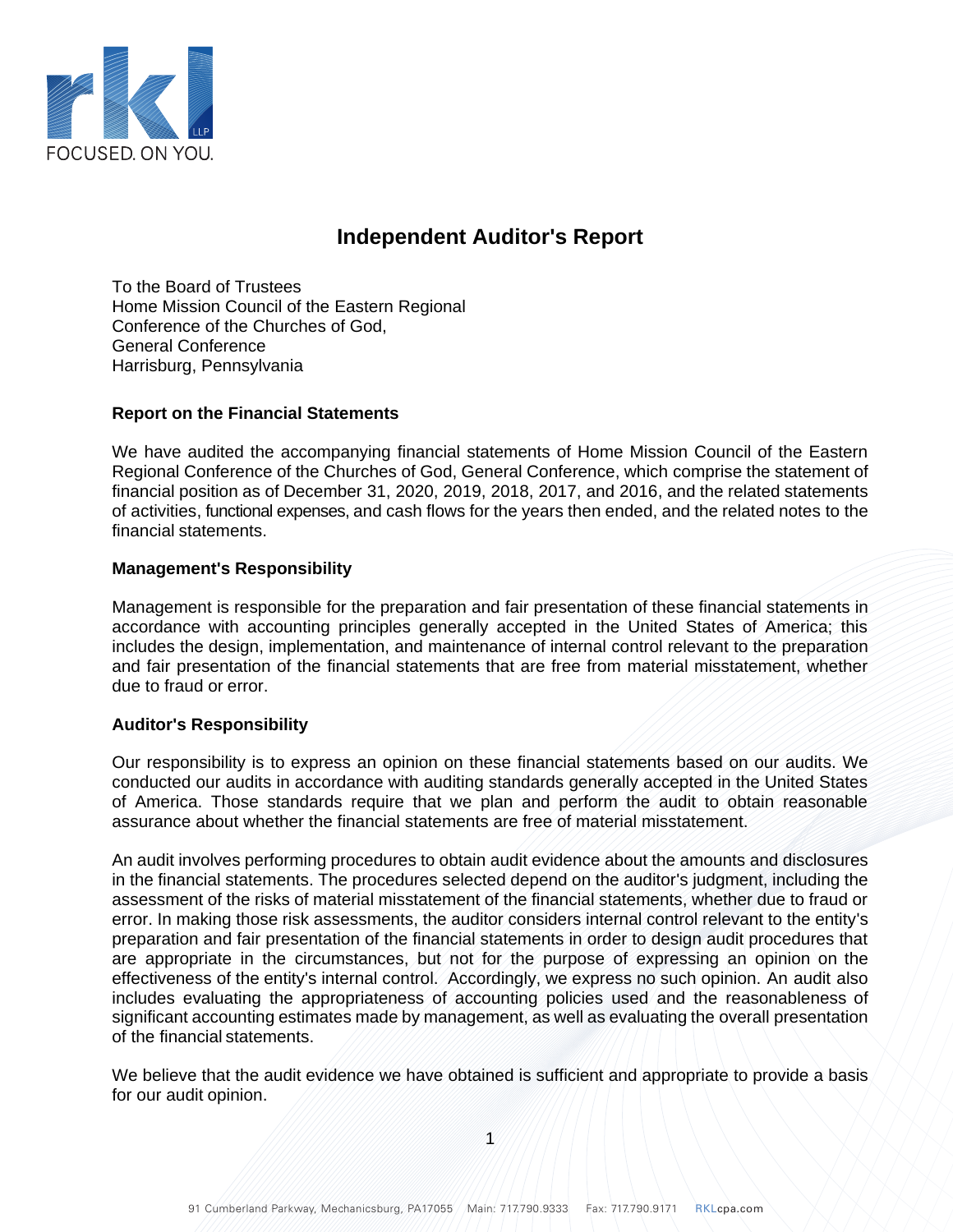

## **Independent Auditor's Report**

To the Board of Trustees Home Mission Council of the Eastern Regional Conference of the Churches of God, General Conference Harrisburg, Pennsylvania

### **Report on the Financial Statements**

We have audited the accompanying financial statements of Home Mission Council of the Eastern Regional Conference of the Churches of God, General Conference, which comprise the statement of financial position as of December 31, 2020, 2019, 2018, 2017, and 2016, and the related statements of activities, functional expenses, and cash flows for the years then ended, and the related notes to the financial statements.

### **Management's Responsibility**

Management is responsible for the preparation and fair presentation of these financial statements in accordance with accounting principles generally accepted in the United States of America; this includes the design, implementation, and maintenance of internal control relevant to the preparation and fair presentation of the financial statements that are free from material misstatement, whether due to fraud or error.

#### **Auditor's Responsibility**

Our responsibility is to express an opinion on these financial statements based on our audits. We conducted our audits in accordance with auditing standards generally accepted in the United States of America. Those standards require that we plan and perform the audit to obtain reasonable assurance about whether the financial statements are free of material misstatement.

An audit involves performing procedures to obtain audit evidence about the amounts and disclosures in the financial statements. The procedures selected depend on the auditor's judgment, including the assessment of the risks of material misstatement of the financial statements, whether due to fraud or error. In making those risk assessments, the auditor considers internal control relevant to the entity's preparation and fair presentation of the financial statements in order to design audit procedures that are appropriate in the circumstances, but not for the purpose of expressing an opinion on the effectiveness of the entity's internal control. Accordingly, we express no such opinion. An audit also includes evaluating the appropriateness of accounting policies used and the reasonableness of significant accounting estimates made by management, as well as evaluating the overall presentation of the financial statements.

We believe that the audit evidence we have obtained is sufficient and appropriate to provide a basis for our audit opinion.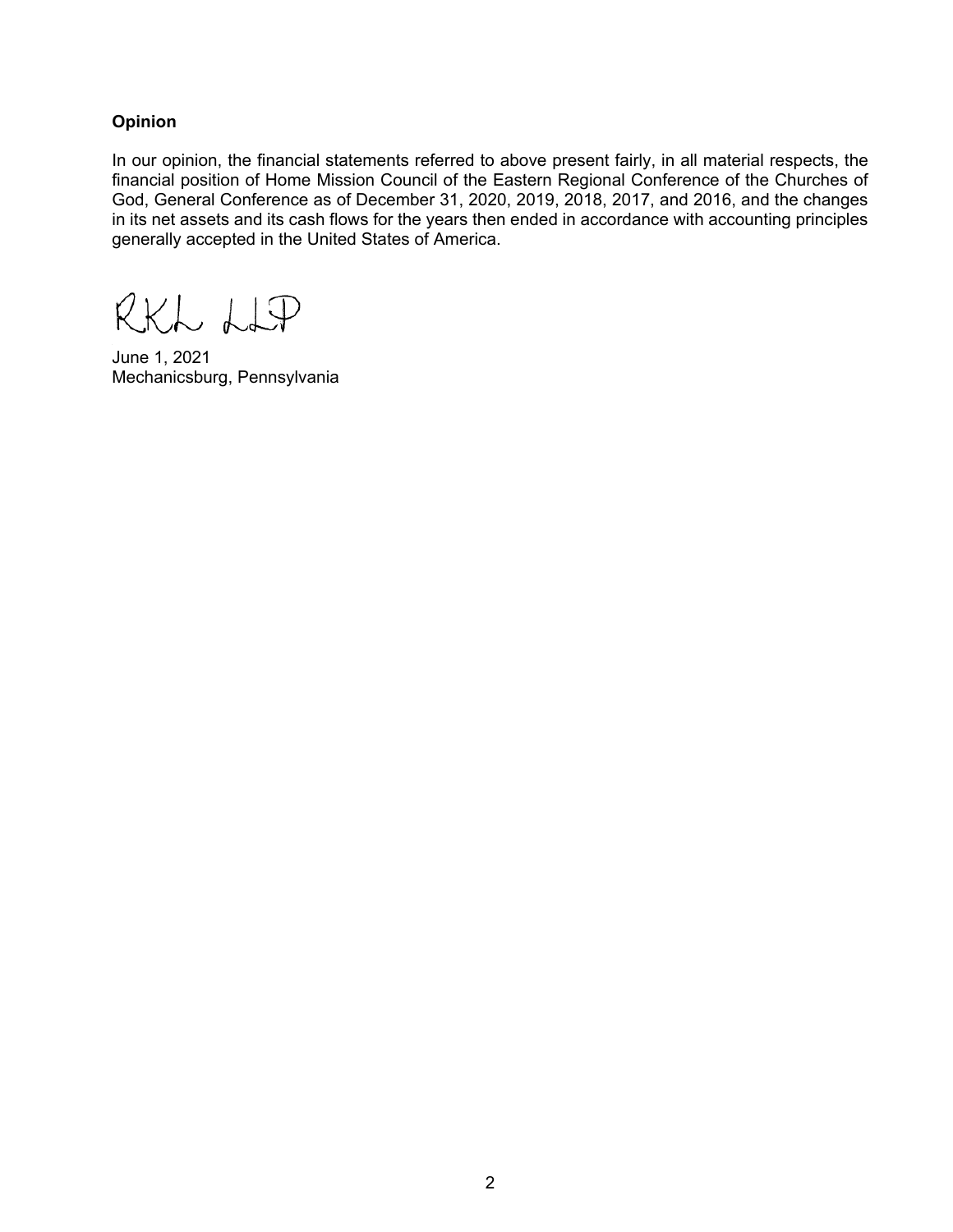### **Opinion**

In our opinion, the financial statements referred to above present fairly, in all material respects, the financial position of Home Mission Council of the Eastern Regional Conference of the Churches of God, General Conference as of December 31, 2020, 2019, 2018, 2017, and 2016, and the changes in its net assets and its cash flows for the years then ended in accordance with accounting principles generally accepted in the United States of America.

RKL LIP

June 1, 2021 Mechanicsburg, Pennsylvania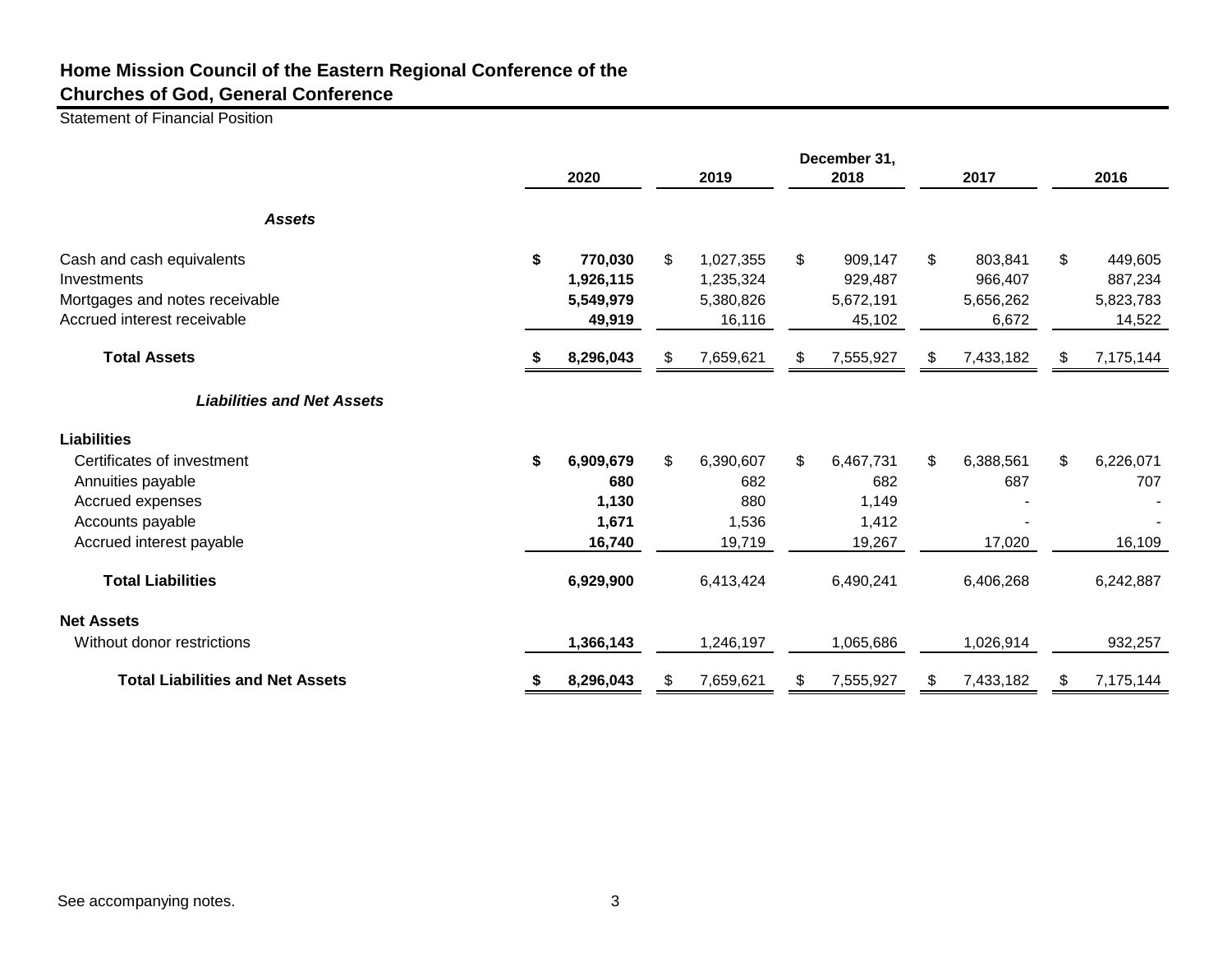Statement of Financial Position

|                                         | 2020            |    | 2019      | December 31,<br>2018 |    | 2017      |               | 2016      |
|-----------------------------------------|-----------------|----|-----------|----------------------|----|-----------|---------------|-----------|
| <b>Assets</b>                           |                 |    |           |                      |    |           |               |           |
| Cash and cash equivalents               | \$<br>770,030   | \$ | 1,027,355 | \$<br>909,147        | \$ | 803,841   | $\frac{1}{2}$ | 449,605   |
| Investments                             | 1,926,115       |    | 1,235,324 | 929,487              |    | 966,407   |               | 887,234   |
| Mortgages and notes receivable          | 5,549,979       |    | 5,380,826 | 5,672,191            |    | 5,656,262 |               | 5,823,783 |
| Accrued interest receivable             | 49,919          |    | 16,116    | 45,102               |    | 6,672     |               | 14,522    |
| <b>Total Assets</b>                     | 8,296,043       | S  | 7,659,621 | \$<br>7,555,927      | S  | 7,433,182 | S.            | 7,175,144 |
| <b>Liabilities and Net Assets</b>       |                 |    |           |                      |    |           |               |           |
| <b>Liabilities</b>                      |                 |    |           |                      |    |           |               |           |
| Certificates of investment              | \$<br>6,909,679 | \$ | 6,390,607 | \$<br>6,467,731      | \$ | 6,388,561 | \$            | 6,226,071 |
| Annuities payable                       | 680             |    | 682       | 682                  |    | 687       |               | 707       |
| Accrued expenses                        | 1,130           |    | 880       | 1,149                |    |           |               |           |
| Accounts payable                        | 1,671           |    | 1,536     | 1,412                |    |           |               |           |
| Accrued interest payable                | 16,740          |    | 19,719    | 19,267               |    | 17,020    |               | 16,109    |
| <b>Total Liabilities</b>                | 6,929,900       |    | 6,413,424 | 6,490,241            |    | 6,406,268 |               | 6,242,887 |
| <b>Net Assets</b>                       |                 |    |           |                      |    |           |               |           |
| Without donor restrictions              | 1,366,143       |    | 1,246,197 | 1,065,686            |    | 1,026,914 |               | 932,257   |
| <b>Total Liabilities and Net Assets</b> | 8,296,043       | \$ | 7,659,621 | \$<br>7,555,927      | P. | 7,433,182 | S             | 7,175,144 |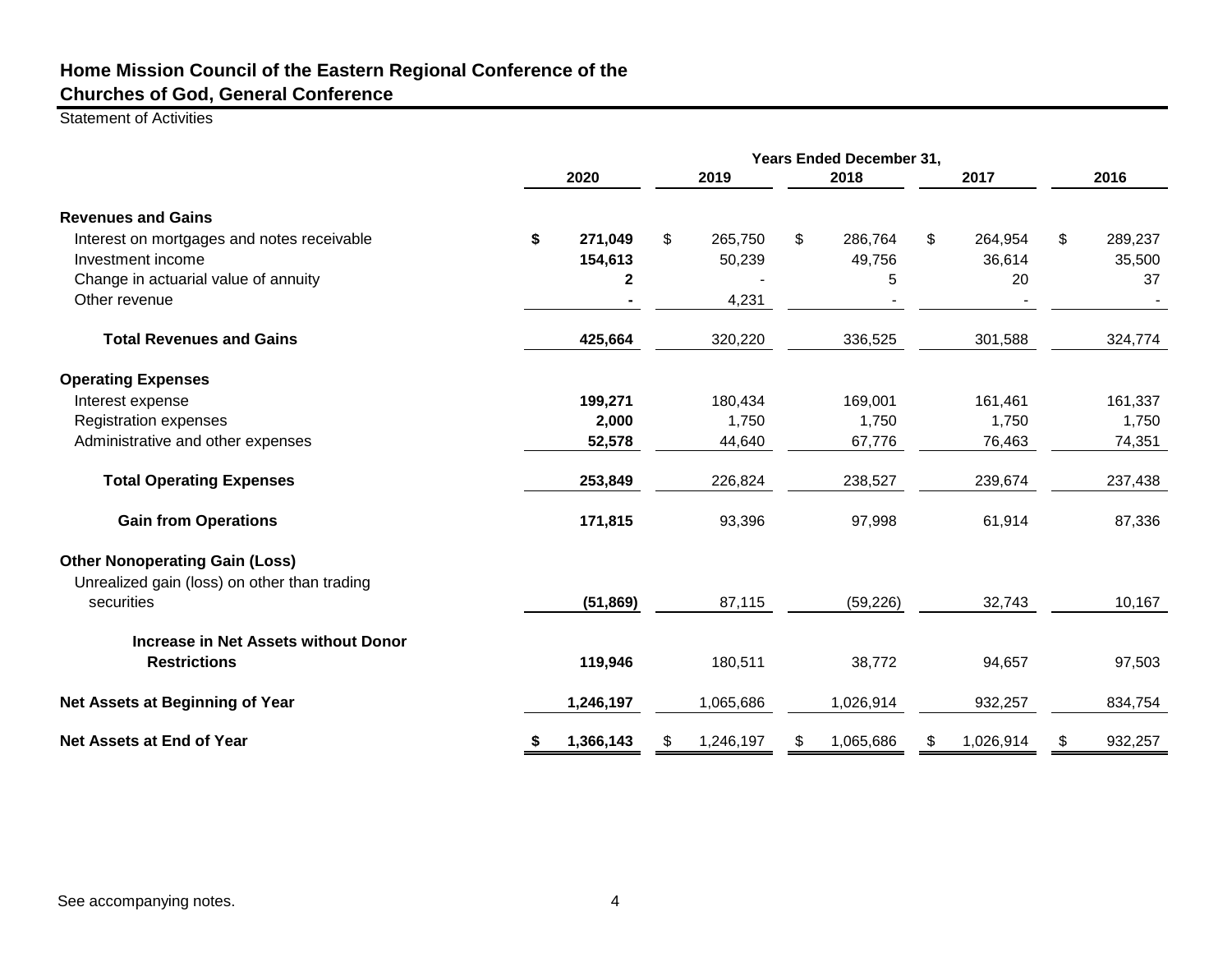Statement of Activities

|                                              | Years Ended December 31, |             |    |           |    |           |                |           |               |
|----------------------------------------------|--------------------------|-------------|----|-----------|----|-----------|----------------|-----------|---------------|
|                                              |                          | 2020        |    | 2019      |    | 2018      |                | 2017      | 2016          |
| <b>Revenues and Gains</b>                    |                          |             |    |           |    |           |                |           |               |
| Interest on mortgages and notes receivable   | \$                       | 271,049     | \$ | 265,750   | \$ | 286,764   | $\mathfrak{S}$ | 264,954   | \$<br>289,237 |
| Investment income                            |                          | 154,613     |    | 50,239    |    | 49,756    |                | 36,614    | 35,500        |
| Change in actuarial value of annuity         |                          | $\mathbf 2$ |    |           |    | 5         |                | 20        | 37            |
| Other revenue                                |                          |             |    | 4,231     |    |           |                |           |               |
| <b>Total Revenues and Gains</b>              |                          | 425,664     |    | 320,220   |    | 336,525   |                | 301,588   | 324,774       |
| <b>Operating Expenses</b>                    |                          |             |    |           |    |           |                |           |               |
| Interest expense                             |                          | 199,271     |    | 180,434   |    | 169,001   |                | 161,461   | 161,337       |
| <b>Registration expenses</b>                 |                          | 2,000       |    | 1,750     |    | 1,750     |                | 1,750     | 1,750         |
| Administrative and other expenses            |                          | 52,578      |    | 44,640    |    | 67,776    |                | 76,463    | 74,351        |
| <b>Total Operating Expenses</b>              |                          | 253,849     |    | 226,824   |    | 238,527   |                | 239,674   | 237,438       |
| <b>Gain from Operations</b>                  |                          | 171,815     |    | 93,396    |    | 97,998    |                | 61,914    | 87,336        |
| <b>Other Nonoperating Gain (Loss)</b>        |                          |             |    |           |    |           |                |           |               |
| Unrealized gain (loss) on other than trading |                          |             |    |           |    |           |                |           |               |
| securities                                   |                          | (51, 869)   |    | 87,115    |    | (59, 226) |                | 32,743    | 10,167        |
| Increase in Net Assets without Donor         |                          |             |    |           |    |           |                |           |               |
| <b>Restrictions</b>                          |                          | 119,946     |    | 180,511   |    | 38,772    |                | 94,657    | 97,503        |
| Net Assets at Beginning of Year              |                          | 1,246,197   |    | 1,065,686 |    | 1,026,914 |                | 932,257   | 834,754       |
| Net Assets at End of Year                    | \$                       | 1,366,143   | \$ | 1,246,197 | S  | 1,065,686 | \$             | 1,026,914 | \$<br>932,257 |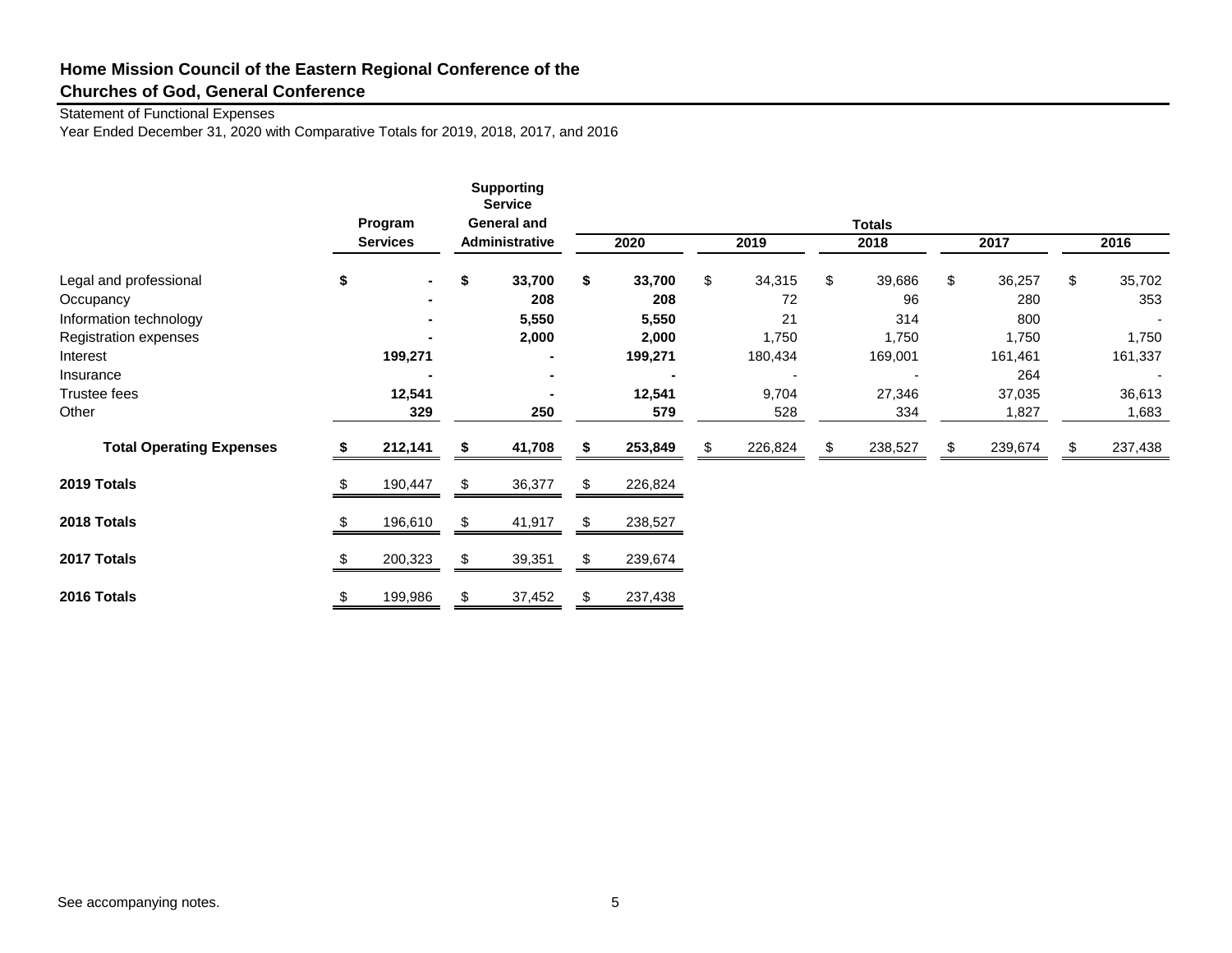### Statement of Functional Expenses

Year Ended December 31, 2020 with Comparative Totals for 2019, 2018, 2017, and 2016

|                                 |     | Program<br><b>Services</b> |    | <b>Supporting</b><br><b>Service</b><br><b>General and</b><br>Administrative |     | 2020    | 2019         | <b>Totals</b><br>2018 |     | 2017    | 2016                     |
|---------------------------------|-----|----------------------------|----|-----------------------------------------------------------------------------|-----|---------|--------------|-----------------------|-----|---------|--------------------------|
|                                 |     |                            |    |                                                                             |     |         |              |                       |     |         |                          |
| Legal and professional          | \$  | $\blacksquare$             | \$ | 33,700                                                                      | \$  | 33,700  | \$<br>34,315 | \$<br>39,686          | \$  | 36,257  | \$<br>35,702             |
| Occupancy                       |     |                            |    | 208                                                                         |     | 208     | 72           | 96                    |     | 280     | 353                      |
| Information technology          |     |                            |    | 5,550                                                                       |     | 5,550   | 21           | 314                   |     | 800     | $\overline{\phantom{a}}$ |
| Registration expenses           |     |                            |    | 2,000                                                                       |     | 2,000   | 1,750        | 1,750                 |     | 1,750   | 1,750                    |
| Interest                        |     | 199,271                    |    |                                                                             |     | 199,271 | 180,434      | 169,001               |     | 161,461 | 161,337                  |
| Insurance                       |     |                            |    |                                                                             |     |         |              |                       |     | 264     | $\overline{\phantom{a}}$ |
| Trustee fees                    |     | 12,541                     |    |                                                                             |     | 12,541  | 9,704        | 27,346                |     | 37,035  | 36,613                   |
| Other                           |     | 329                        |    | 250                                                                         |     | 579     | 528          | 334                   |     | 1,827   | 1,683                    |
| <b>Total Operating Expenses</b> |     | 212,141                    | S  | 41,708                                                                      |     | 253,849 | 226,824      | \$<br>238,527         | \$. | 239,674 | \$<br>237,438            |
| 2019 Totals                     | \$. | 190,447                    | \$ | 36,377                                                                      | \$  | 226,824 |              |                       |     |         |                          |
| 2018 Totals                     | S   | 196,610                    | \$ | 41,917                                                                      | \$. | 238,527 |              |                       |     |         |                          |
| 2017 Totals                     |     | 200,323                    | \$ | 39,351                                                                      |     | 239,674 |              |                       |     |         |                          |
| 2016 Totals                     | \$  | 199,986                    | \$ | 37,452                                                                      | S   | 237,438 |              |                       |     |         |                          |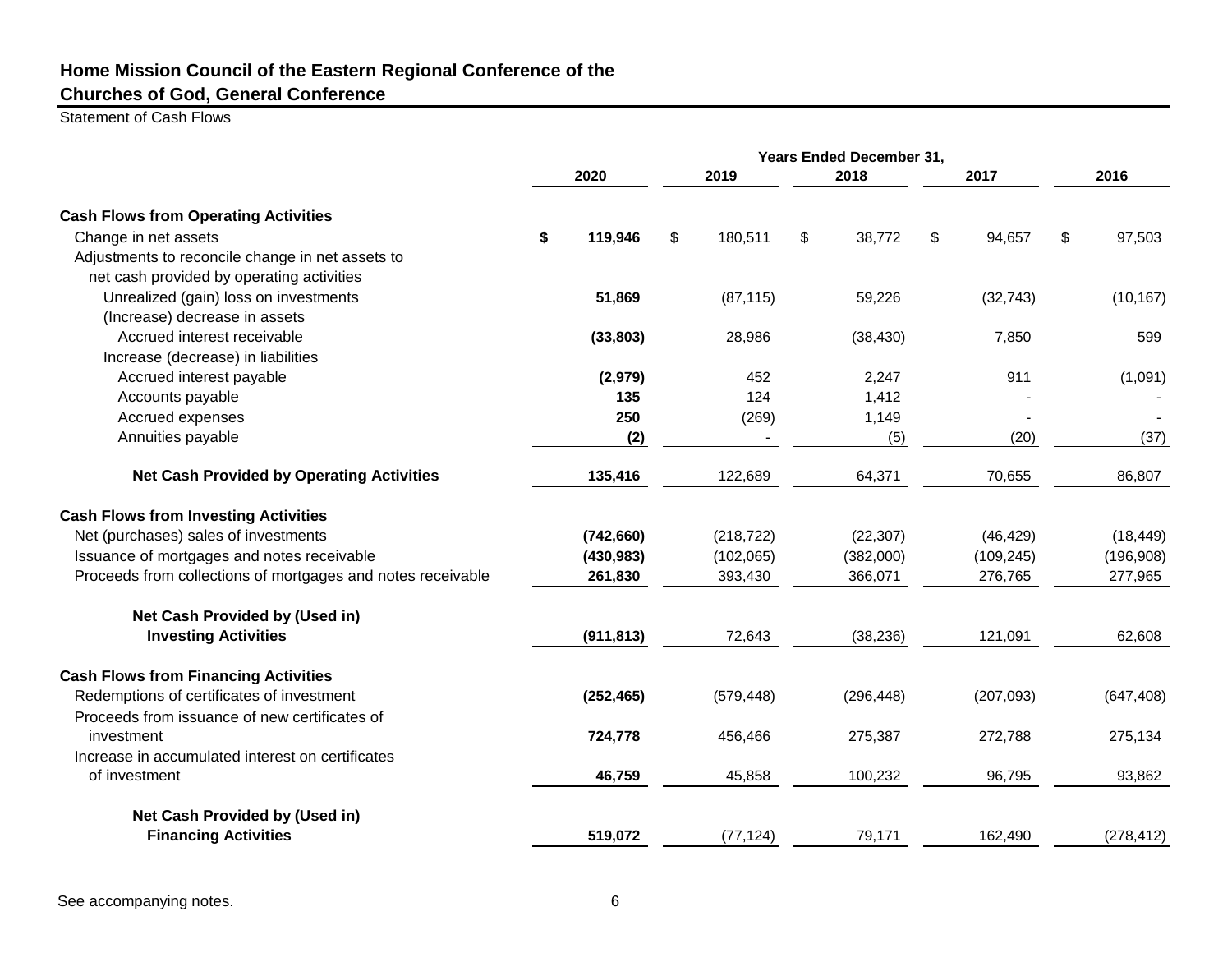Statement of Cash Flows

|                                                             | Years Ended December 31, |            |    |            |    |            |    |            |    |            |
|-------------------------------------------------------------|--------------------------|------------|----|------------|----|------------|----|------------|----|------------|
|                                                             |                          | 2020       |    | 2019       |    | 2018       |    | 2017       |    | 2016       |
| <b>Cash Flows from Operating Activities</b>                 |                          |            |    |            |    |            |    |            |    |            |
| Change in net assets                                        | \$                       | 119,946    | \$ | 180,511    | \$ | 38,772     | \$ | 94,657     | \$ | 97,503     |
| Adjustments to reconcile change in net assets to            |                          |            |    |            |    |            |    |            |    |            |
| net cash provided by operating activities                   |                          |            |    |            |    |            |    |            |    |            |
| Unrealized (gain) loss on investments                       |                          | 51,869     |    | (87, 115)  |    | 59,226     |    | (32, 743)  |    | (10, 167)  |
| (Increase) decrease in assets                               |                          |            |    |            |    |            |    |            |    |            |
| Accrued interest receivable                                 |                          | (33, 803)  |    | 28,986     |    | (38, 430)  |    | 7,850      |    | 599        |
| Increase (decrease) in liabilities                          |                          |            |    |            |    |            |    |            |    |            |
| Accrued interest payable                                    |                          | (2,979)    |    | 452        |    | 2,247      |    | 911        |    | (1,091)    |
| Accounts payable                                            |                          | 135        |    | 124        |    | 1,412      |    |            |    |            |
| Accrued expenses                                            |                          | 250        |    | (269)      |    | 1,149      |    |            |    |            |
| Annuities payable                                           |                          | (2)        |    |            |    | (5)        |    | (20)       |    | (37)       |
| <b>Net Cash Provided by Operating Activities</b>            |                          | 135,416    |    | 122,689    |    | 64,371     |    | 70,655     |    | 86,807     |
| <b>Cash Flows from Investing Activities</b>                 |                          |            |    |            |    |            |    |            |    |            |
| Net (purchases) sales of investments                        |                          | (742, 660) |    | (218, 722) |    | (22, 307)  |    | (46, 429)  |    | (18, 449)  |
| Issuance of mortgages and notes receivable                  |                          | (430, 983) |    | (102,065)  |    | (382,000)  |    | (109, 245) |    | (196,908)  |
| Proceeds from collections of mortgages and notes receivable |                          | 261,830    |    | 393,430    |    | 366,071    |    | 276,765    |    | 277,965    |
| Net Cash Provided by (Used in)                              |                          |            |    |            |    |            |    |            |    |            |
| <b>Investing Activities</b>                                 |                          | (911, 813) |    | 72,643     |    | (38, 236)  |    | 121,091    |    | 62,608     |
| <b>Cash Flows from Financing Activities</b>                 |                          |            |    |            |    |            |    |            |    |            |
| Redemptions of certificates of investment                   |                          | (252, 465) |    | (579, 448) |    | (296, 448) |    | (207, 093) |    | (647, 408) |
| Proceeds from issuance of new certificates of               |                          |            |    |            |    |            |    |            |    |            |
| investment                                                  |                          | 724,778    |    | 456,466    |    | 275,387    |    | 272,788    |    | 275,134    |
| Increase in accumulated interest on certificates            |                          |            |    |            |    |            |    |            |    |            |
| of investment                                               |                          | 46,759     |    | 45,858     |    | 100,232    |    | 96,795     |    | 93,862     |
| Net Cash Provided by (Used in)                              |                          |            |    |            |    |            |    |            |    |            |
| <b>Financing Activities</b>                                 |                          | 519,072    |    | (77, 124)  |    | 79,171     |    | 162,490    |    | (278, 412) |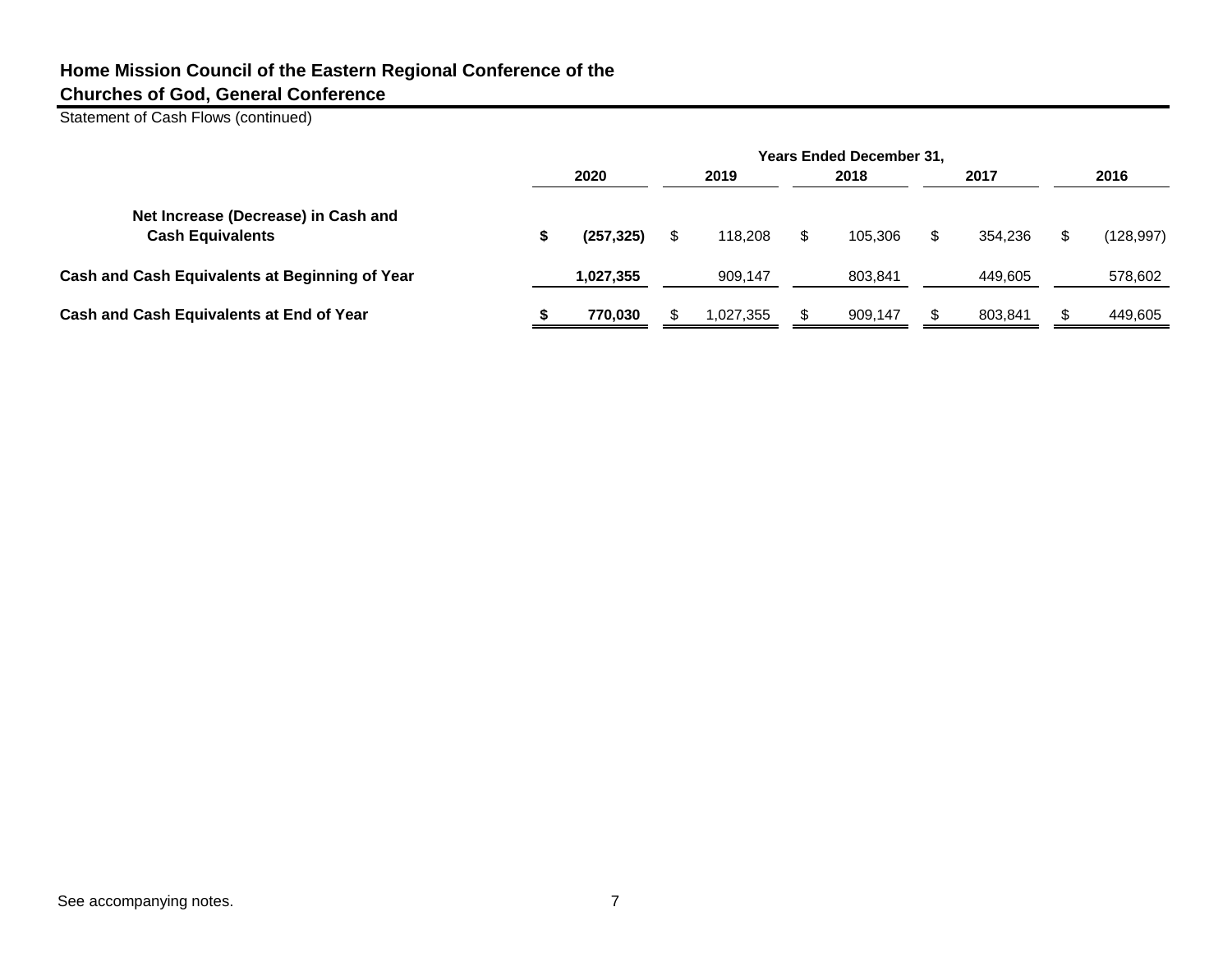Statement of Cash Flows (continued)

|                                                                | <b>Years Ended December 31,</b> |            |  |           |    |         |  |         |  |            |
|----------------------------------------------------------------|---------------------------------|------------|--|-----------|----|---------|--|---------|--|------------|
|                                                                |                                 | 2020       |  | 2019      |    | 2018    |  | 2017    |  | 2016       |
| Net Increase (Decrease) in Cash and<br><b>Cash Equivalents</b> | э                               | (257, 325) |  | 118,208   | \$ | 105.306 |  | 354.236 |  | (128, 997) |
| Cash and Cash Equivalents at Beginning of Year                 |                                 | 1,027,355  |  | 909.147   |    | 803.841 |  | 449.605 |  | 578,602    |
| Cash and Cash Equivalents at End of Year                       |                                 | 770.030    |  | 1.027.355 |    | 909,147 |  | 803.841 |  | 449,605    |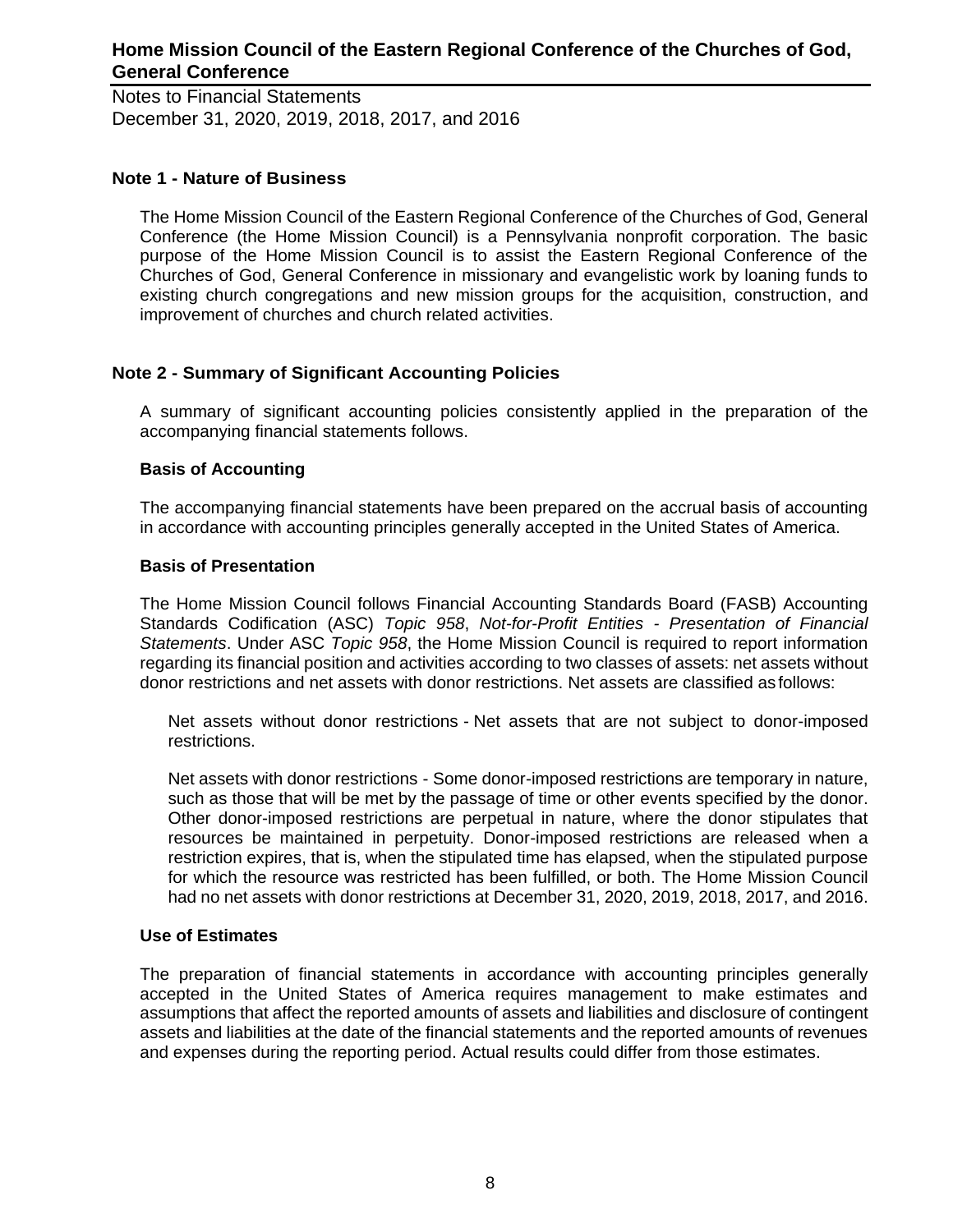Notes to Financial Statements December 31, 2020, 2019, 2018, 2017, and 2016

### **Note 1 - Nature of Business**

The Home Mission Council of the Eastern Regional Conference of the Churches of God, General Conference (the Home Mission Council) is a Pennsylvania nonprofit corporation. The basic purpose of the Home Mission Council is to assist the Eastern Regional Conference of the Churches of God, General Conference in missionary and evangelistic work by loaning funds to existing church congregations and new mission groups for the acquisition, construction, and improvement of churches and church related activities.

### **Note 2 - Summary of Significant Accounting Policies**

A summary of significant accounting policies consistently applied in the preparation of the accompanying financial statements follows.

### **Basis of Accounting**

The accompanying financial statements have been prepared on the accrual basis of accounting in accordance with accounting principles generally accepted in the United States of America.

### **Basis of Presentation**

The Home Mission Council follows Financial Accounting Standards Board (FASB) Accounting Standards Codification (ASC) *Topic 958*, *Not-for-Profit Entities - Presentation of Financial Statements*. Under ASC *Topic 958*, the Home Mission Council is required to report information regarding its financial position and activities according to two classes of assets: net assets without donor restrictions and net assets with donor restrictions. Net assets are classified as follows:

Net assets without donor restrictions - Net assets that are not subject to donor-imposed restrictions.

Net assets with donor restrictions - Some donor-imposed restrictions are temporary in nature, such as those that will be met by the passage of time or other events specified by the donor. Other donor-imposed restrictions are perpetual in nature, where the donor stipulates that resources be maintained in perpetuity. Donor-imposed restrictions are released when a restriction expires, that is, when the stipulated time has elapsed, when the stipulated purpose for which the resource was restricted has been fulfilled, or both. The Home Mission Council had no net assets with donor restrictions at December 31, 2020, 2019, 2018, 2017, and 2016.

#### **Use of Estimates**

The preparation of financial statements in accordance with accounting principles generally accepted in the United States of America requires management to make estimates and assumptions that affect the reported amounts of assets and liabilities and disclosure of contingent assets and liabilities at the date of the financial statements and the reported amounts of revenues and expenses during the reporting period. Actual results could differ from those estimates.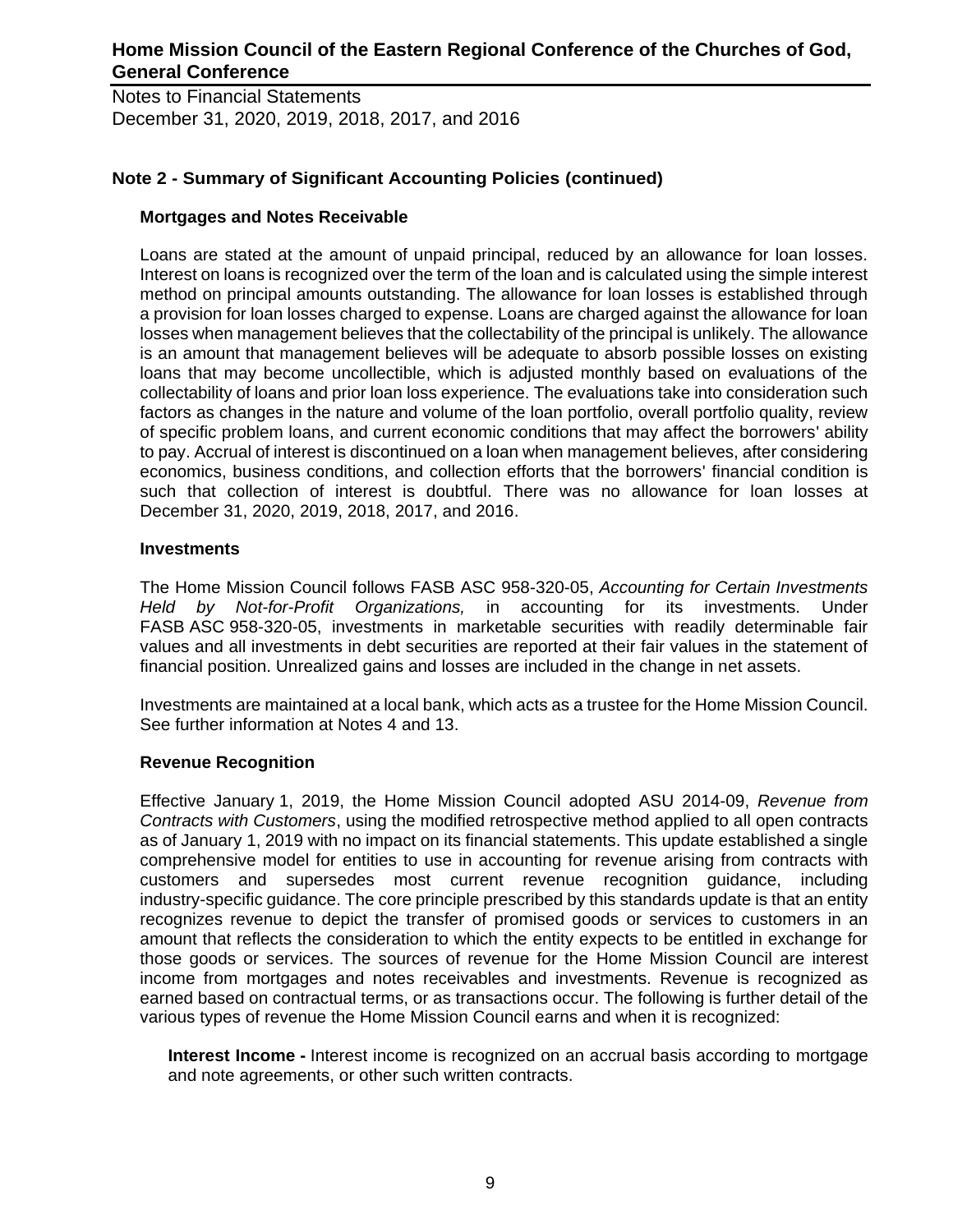Notes to Financial Statements December 31, 2020, 2019, 2018, 2017, and 2016

### **Note 2 - Summary of Significant Accounting Policies (continued)**

### **Mortgages and Notes Receivable**

Loans are stated at the amount of unpaid principal, reduced by an allowance for loan losses. Interest on loans is recognized over the term of the loan and is calculated using the simple interest method on principal amounts outstanding. The allowance for loan losses is established through a provision for loan losses charged to expense. Loans are charged against the allowance for loan losses when management believes that the collectability of the principal is unlikely. The allowance is an amount that management believes will be adequate to absorb possible losses on existing loans that may become uncollectible, which is adjusted monthly based on evaluations of the collectability of loans and prior loan loss experience. The evaluations take into consideration such factors as changes in the nature and volume of the loan portfolio, overall portfolio quality, review of specific problem loans, and current economic conditions that may affect the borrowers' ability to pay. Accrual of interest is discontinued on a loan when management believes, after considering economics, business conditions, and collection efforts that the borrowers' financial condition is such that collection of interest is doubtful. There was no allowance for loan losses at December 31, 2020, 2019, 2018, 2017, and 2016.

### **Investments**

The Home Mission Council follows FASB ASC 958-320-05, *Accounting for Certain Investments Held by Not-for-Profit Organizations,* in accounting for its investments. Under FASB ASC 958-320-05, investments in marketable securities with readily determinable fair values and all investments in debt securities are reported at their fair values in the statement of financial position. Unrealized gains and losses are included in the change in net assets.

Investments are maintained at a local bank, which acts as a trustee for the Home Mission Council. See further information at Notes 4 and 13.

#### **Revenue Recognition**

Effective January 1, 2019, the Home Mission Council adopted ASU 2014-09, *Revenue from Contracts with Customers*, using the modified retrospective method applied to all open contracts as of January 1, 2019 with no impact on its financial statements. This update established a single comprehensive model for entities to use in accounting for revenue arising from contracts with customers and supersedes most current revenue recognition guidance, including industry-specific guidance. The core principle prescribed by this standards update is that an entity recognizes revenue to depict the transfer of promised goods or services to customers in an amount that reflects the consideration to which the entity expects to be entitled in exchange for those goods or services. The sources of revenue for the Home Mission Council are interest income from mortgages and notes receivables and investments. Revenue is recognized as earned based on contractual terms, or as transactions occur. The following is further detail of the various types of revenue the Home Mission Council earns and when it is recognized:

**Interest Income -** Interest income is recognized on an accrual basis according to mortgage and note agreements, or other such written contracts.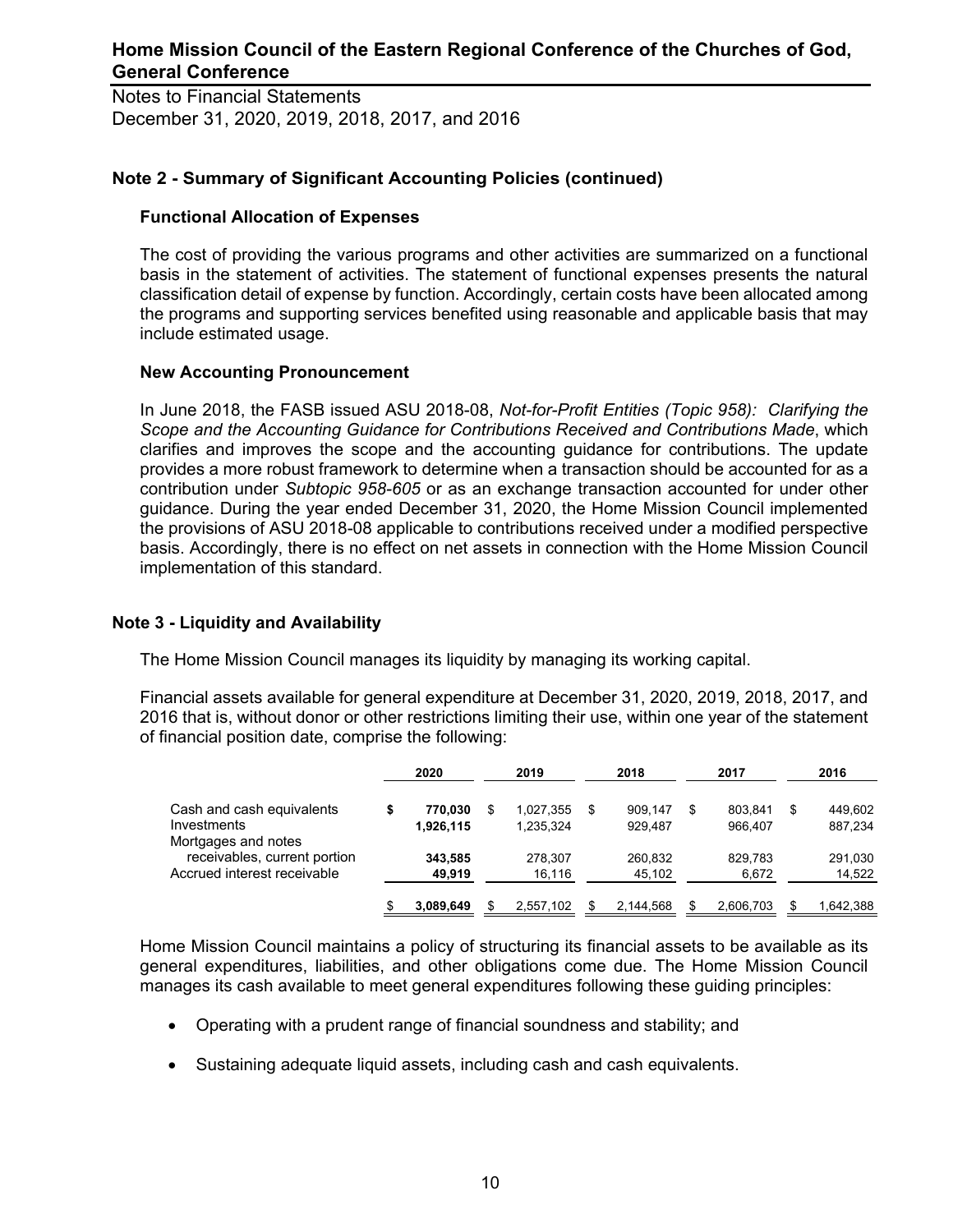Notes to Financial Statements December 31, 2020, 2019, 2018, 2017, and 2016

### **Note 2 - Summary of Significant Accounting Policies (continued)**

#### **Functional Allocation of Expenses**

The cost of providing the various programs and other activities are summarized on a functional basis in the statement of activities. The statement of functional expenses presents the natural classification detail of expense by function. Accordingly, certain costs have been allocated among the programs and supporting services benefited using reasonable and applicable basis that may include estimated usage.

### **New Accounting Pronouncement**

In June 2018, the FASB issued ASU 2018-08, *Not-for-Profit Entities (Topic 958): Clarifying the Scope and the Accounting Guidance for Contributions Received and Contributions Made*, which clarifies and improves the scope and the accounting guidance for contributions. The update provides a more robust framework to determine when a transaction should be accounted for as a contribution under *Subtopic 958-605* or as an exchange transaction accounted for under other guidance. During the year ended December 31, 2020, the Home Mission Council implemented the provisions of ASU 2018-08 applicable to contributions received under a modified perspective basis. Accordingly, there is no effect on net assets in connection with the Home Mission Council implementation of this standard.

### **Note 3 - Liquidity and Availability**

The Home Mission Council manages its liquidity by managing its working capital.

Financial assets available for general expenditure at December 31, 2020, 2019, 2018, 2017, and 2016 that is, without donor or other restrictions limiting their use, within one year of the statement of financial position date, comprise the following:

|                                                                                    | 2020                 |     | 2019                   |     | 2018               |     | 2017               | 2016                     |
|------------------------------------------------------------------------------------|----------------------|-----|------------------------|-----|--------------------|-----|--------------------|--------------------------|
| Cash and cash equivalents<br>Investments                                           | 770,030<br>1,926,115 | S   | 1,027,355<br>1.235.324 | \$. | 909.147<br>929.487 | S   | 803.841<br>966.407 | \$<br>449,602<br>887,234 |
| Mortgages and notes<br>receivables, current portion<br>Accrued interest receivable | 343,585<br>49,919    |     | 278.307<br>16,116      |     | 260.832<br>45,102  |     | 829.783<br>6,672   | 291,030<br>14,522        |
|                                                                                    | 3.089.649            | \$. | 2.557.102              |     | 2.144.568          | \$. | 2.606.703          | \$<br>1,642,388          |

Home Mission Council maintains a policy of structuring its financial assets to be available as its general expenditures, liabilities, and other obligations come due. The Home Mission Council manages its cash available to meet general expenditures following these guiding principles:

- Operating with a prudent range of financial soundness and stability; and
- Sustaining adequate liquid assets, including cash and cash equivalents.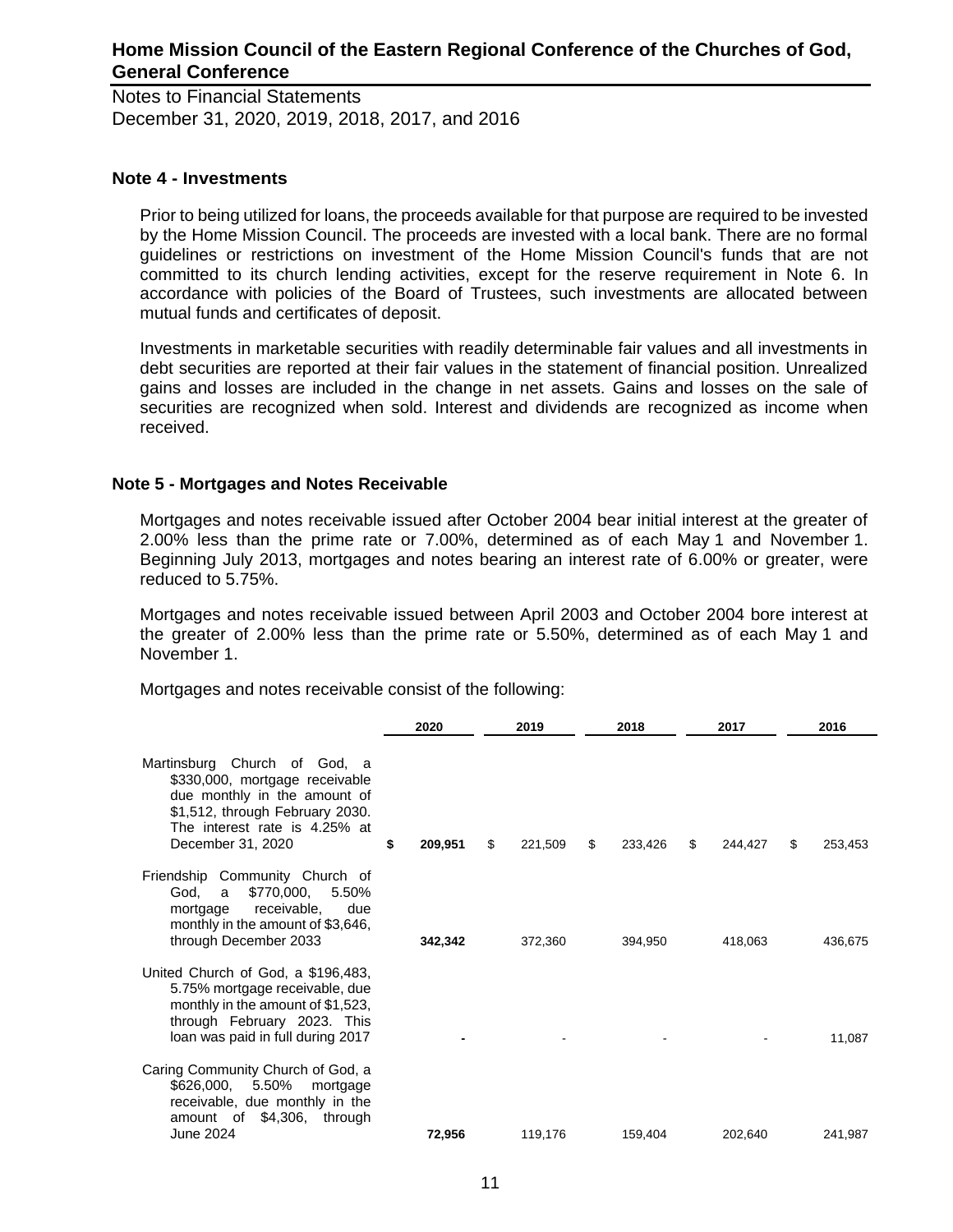Notes to Financial Statements December 31, 2020, 2019, 2018, 2017, and 2016

#### **Note 4 - Investments**

Prior to being utilized for loans, the proceeds available for that purpose are required to be invested by the Home Mission Council. The proceeds are invested with a local bank. There are no formal guidelines or restrictions on investment of the Home Mission Council's funds that are not committed to its church lending activities, except for the reserve requirement in Note 6. In accordance with policies of the Board of Trustees, such investments are allocated between mutual funds and certificates of deposit.

Investments in marketable securities with readily determinable fair values and all investments in debt securities are reported at their fair values in the statement of financial position. Unrealized gains and losses are included in the change in net assets. Gains and losses on the sale of securities are recognized when sold. Interest and dividends are recognized as income when received.

### **Note 5 - Mortgages and Notes Receivable**

Mortgages and notes receivable issued after October 2004 bear initial interest at the greater of 2.00% less than the prime rate or 7.00%, determined as of each May 1 and November 1. Beginning July 2013, mortgages and notes bearing an interest rate of 6.00% or greater, were reduced to 5.75%.

Mortgages and notes receivable issued between April 2003 and October 2004 bore interest at the greater of 2.00% less than the prime rate or 5.50%, determined as of each May 1 and November 1.

Mortgages and notes receivable consist of the following:

|                                                                                                                                                                                         | 2020          | 2019          | 2018 |         | 2017          |    | 2016    |
|-----------------------------------------------------------------------------------------------------------------------------------------------------------------------------------------|---------------|---------------|------|---------|---------------|----|---------|
| Martinsburg Church of God, a<br>\$330,000, mortgage receivable<br>due monthly in the amount of<br>\$1,512, through February 2030.<br>The interest rate is 4.25% at<br>December 31, 2020 | \$<br>209,951 | \$<br>221,509 | \$   | 233,426 | \$<br>244,427 | \$ | 253,453 |
| Friendship Community Church of<br>\$770,000,<br>5.50%<br>God,<br>a<br>receivable,<br>due<br>mortgage<br>monthly in the amount of \$3,646,<br>through December 2033                      | 342,342       | 372,360       |      | 394,950 | 418,063       |    | 436,675 |
| United Church of God, a \$196,483,<br>5.75% mortgage receivable, due<br>monthly in the amount of \$1,523,<br>through February 2023. This<br>loan was paid in full during 2017           |               |               |      |         |               |    | 11,087  |
| Caring Community Church of God, a<br>5.50%<br>\$626,000,<br>mortgage<br>receivable, due monthly in the<br>$$4,306$ , through<br>amount of<br>June 2024                                  | 72,956        | 119,176       |      | 159,404 | 202,640       |    | 241,987 |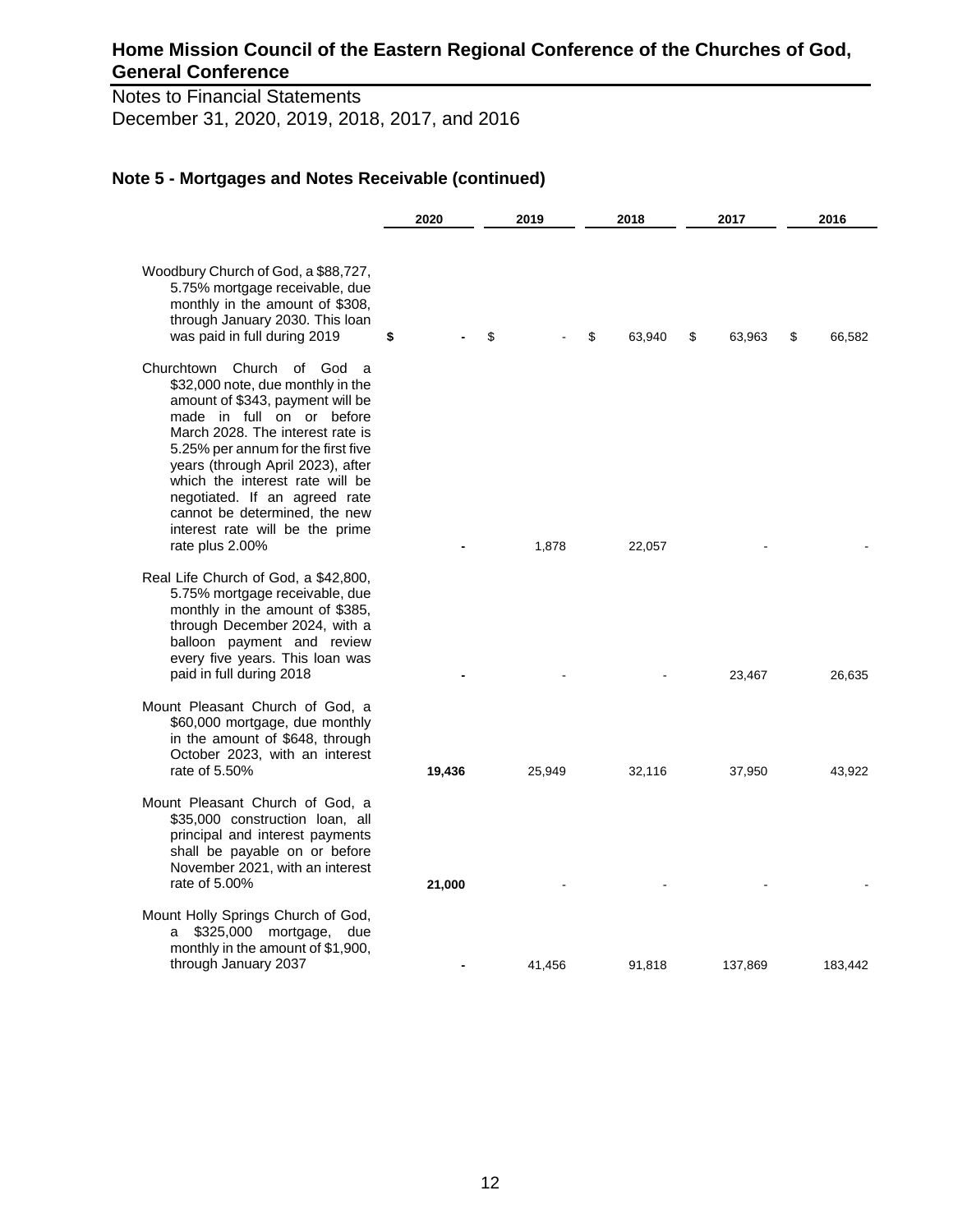Notes to Financial Statements December 31, 2020, 2019, 2018, 2017, and 2016

|                                                                                                                                                                                                                                                                                                                                                                                                                 | 2020   | 2019   | 2018<br>2017 |              | 2016         |
|-----------------------------------------------------------------------------------------------------------------------------------------------------------------------------------------------------------------------------------------------------------------------------------------------------------------------------------------------------------------------------------------------------------------|--------|--------|--------------|--------------|--------------|
| Woodbury Church of God, a \$88,727,<br>5.75% mortgage receivable, due<br>monthly in the amount of \$308,<br>through January 2030. This loan<br>was paid in full during 2019                                                                                                                                                                                                                                     | \$     | \$     | \$<br>63,940 | \$<br>63,963 | \$<br>66,582 |
| Churchtown Church of God<br>- a<br>\$32,000 note, due monthly in the<br>amount of \$343, payment will be<br>made in full on or before<br>March 2028. The interest rate is<br>5.25% per annum for the first five<br>years (through April 2023), after<br>which the interest rate will be<br>negotiated. If an agreed rate<br>cannot be determined, the new<br>interest rate will be the prime<br>rate plus 2.00% |        | 1,878  | 22,057       |              |              |
| Real Life Church of God, a \$42,800,<br>5.75% mortgage receivable, due<br>monthly in the amount of \$385,<br>through December 2024, with a<br>balloon payment and review<br>every five years. This loan was<br>paid in full during 2018                                                                                                                                                                         |        |        |              | 23,467       | 26,635       |
| Mount Pleasant Church of God, a<br>\$60,000 mortgage, due monthly<br>in the amount of \$648, through<br>October 2023, with an interest<br>rate of 5.50%                                                                                                                                                                                                                                                         | 19,436 | 25,949 | 32,116       | 37,950       | 43,922       |
| Mount Pleasant Church of God, a<br>\$35,000 construction loan, all<br>principal and interest payments<br>shall be payable on or before<br>November 2021, with an interest<br>rate of 5.00%                                                                                                                                                                                                                      | 21,000 |        |              |              |              |
| Mount Holly Springs Church of God,<br>\$325,000 mortgage,<br>due<br>a<br>monthly in the amount of \$1,900,<br>through January 2037                                                                                                                                                                                                                                                                              |        | 41,456 | 91,818       | 137,869      | 183,442      |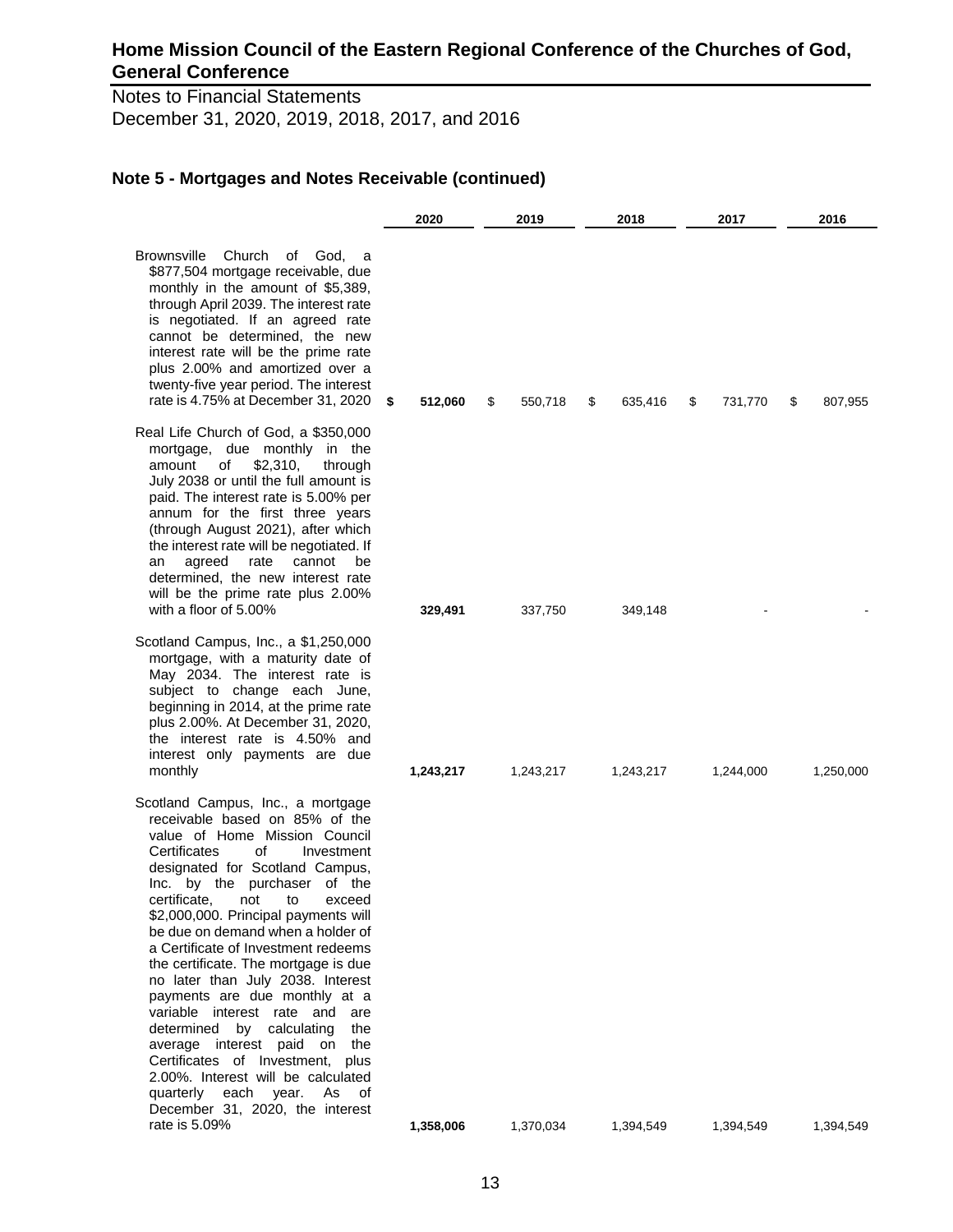Notes to Financial Statements December 31, 2020, 2019, 2018, 2017, and 2016

|                                                                                                                                                                                                                                                                                                                                                                                                                                                                                                                                                                                                                                                                                                                                                                       | 2020          | 2019          | 2018<br>2017  |               | 2016          |
|-----------------------------------------------------------------------------------------------------------------------------------------------------------------------------------------------------------------------------------------------------------------------------------------------------------------------------------------------------------------------------------------------------------------------------------------------------------------------------------------------------------------------------------------------------------------------------------------------------------------------------------------------------------------------------------------------------------------------------------------------------------------------|---------------|---------------|---------------|---------------|---------------|
| <b>Brownsville</b><br>Church<br>of God, a<br>\$877,504 mortgage receivable, due<br>monthly in the amount of \$5,389,<br>through April 2039. The interest rate<br>is negotiated. If an agreed rate<br>cannot be determined, the new<br>interest rate will be the prime rate<br>plus 2.00% and amortized over a<br>twenty-five year period. The interest<br>rate is 4.75% at December 31, 2020                                                                                                                                                                                                                                                                                                                                                                          | \$<br>512,060 | \$<br>550,718 | 635,416<br>\$ | 731,770<br>\$ | \$<br>807,955 |
| Real Life Church of God, a \$350,000<br>mortgage, due monthly in the<br>\$2,310,<br>amount<br>οf<br>through<br>July 2038 or until the full amount is<br>paid. The interest rate is 5.00% per<br>annum for the first three years<br>(through August 2021), after which<br>the interest rate will be negotiated. If<br>agreed<br>rate<br>cannot<br>be<br>an<br>determined, the new interest rate<br>will be the prime rate plus 2.00%<br>with a floor of 5.00%                                                                                                                                                                                                                                                                                                          | 329,491       | 337,750       | 349,148       |               |               |
| Scotland Campus, Inc., a \$1,250,000<br>mortgage, with a maturity date of<br>May 2034. The interest rate is<br>subject to change each June,<br>beginning in 2014, at the prime rate<br>plus 2.00%. At December 31, 2020,<br>the interest rate is 4.50% and<br>interest only payments are due<br>monthly                                                                                                                                                                                                                                                                                                                                                                                                                                                               | 1,243,217     | 1,243,217     | 1,243,217     | 1,244,000     | 1,250,000     |
| Scotland Campus, Inc., a mortgage<br>receivable based on 85% of the<br>value of Home Mission Council<br>Certificates<br>οf<br>Investment<br>designated for Scotland Campus,<br>Inc. by the purchaser of the<br>certificate,<br>not to<br>exceed<br>\$2,000,000. Principal payments will<br>be due on demand when a holder of<br>a Certificate of Investment redeems<br>the certificate. The mortgage is due<br>no later than July 2038. Interest<br>payments are due monthly at a<br>variable interest rate and<br>are<br>determined<br>by calculating<br>the<br>average interest paid on the<br>Certificates of Investment, plus<br>2.00%. Interest will be calculated<br>As<br>quarterly<br>each<br>year.<br>оf<br>December 31, 2020, the interest<br>rate is 5.09% | 1,358,006     | 1,370,034     | 1,394,549     | 1,394,549     | 1,394,549     |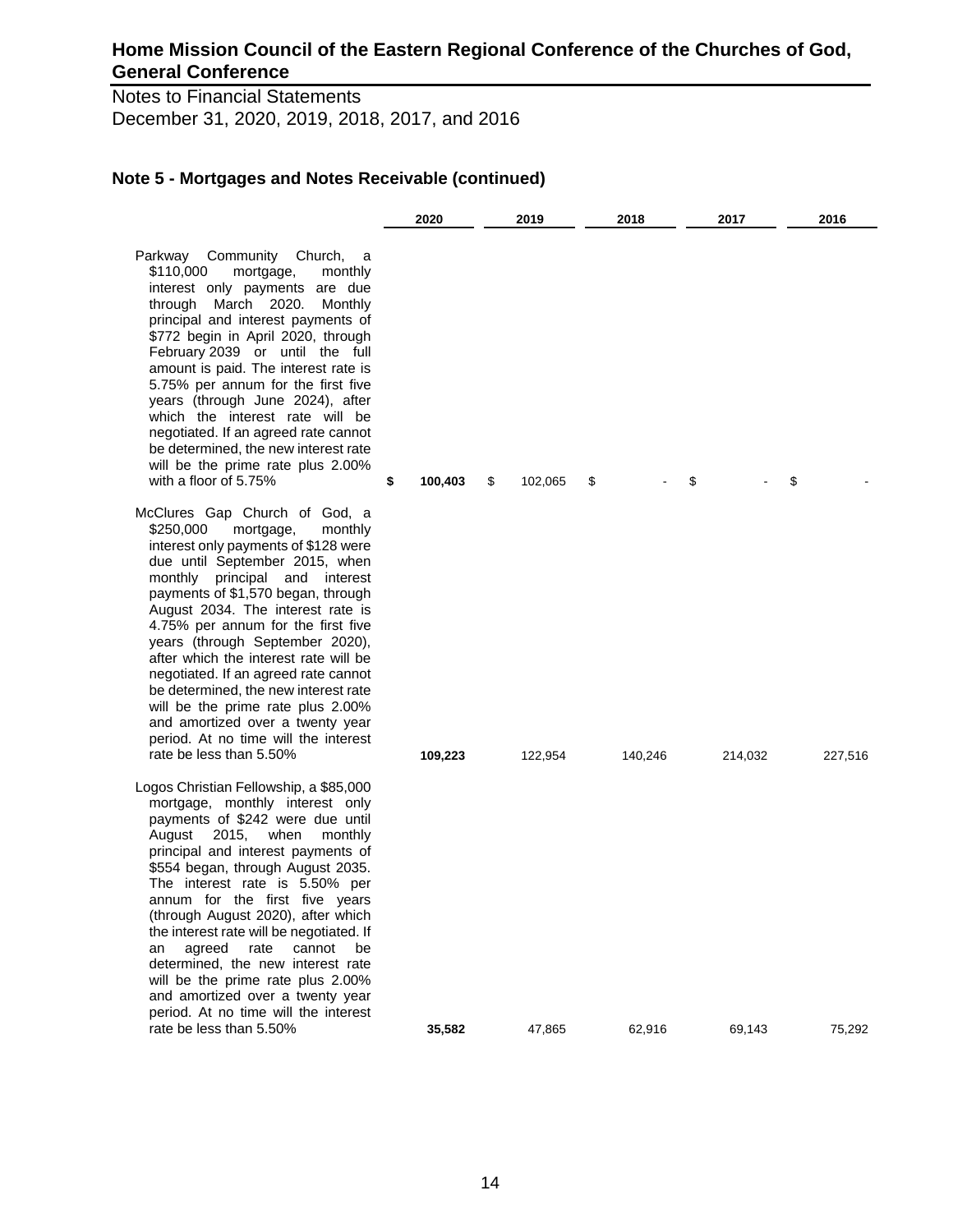Notes to Financial Statements December 31, 2020, 2019, 2018, 2017, and 2016

|                                                                                                                                                                                                                                                                                                                                                                                                                                                                                                                                                                                                               | 2020 |         | 2019          | 2018    |    | 2017    |    | 2016    |
|---------------------------------------------------------------------------------------------------------------------------------------------------------------------------------------------------------------------------------------------------------------------------------------------------------------------------------------------------------------------------------------------------------------------------------------------------------------------------------------------------------------------------------------------------------------------------------------------------------------|------|---------|---------------|---------|----|---------|----|---------|
| Parkway<br>Community Church, a<br>\$110,000<br>mortgage,<br>monthly<br>interest only payments are due<br>through March 2020.<br>Monthly<br>principal and interest payments of<br>\$772 begin in April 2020, through<br>February 2039 or until the full<br>amount is paid. The interest rate is<br>5.75% per annum for the first five<br>years (through June 2024), after<br>which the interest rate will be<br>negotiated. If an agreed rate cannot<br>be determined, the new interest rate<br>will be the prime rate plus 2.00%<br>with a floor of 5.75%                                                     | \$   | 100,403 | \$<br>102,065 | \$      | \$ |         | \$ |         |
| McClures Gap Church of God, a<br>\$250,000<br>mortgage,<br>monthly<br>interest only payments of \$128 were<br>due until September 2015, when<br>monthly principal and interest<br>payments of \$1,570 began, through<br>August 2034. The interest rate is<br>4.75% per annum for the first five<br>years (through September 2020),<br>after which the interest rate will be<br>negotiated. If an agreed rate cannot<br>be determined, the new interest rate<br>will be the prime rate plus 2.00%<br>and amortized over a twenty year<br>period. At no time will the interest<br>rate be less than 5.50%       |      | 109,223 | 122,954       | 140,246 |    | 214,032 |    | 227,516 |
| Logos Christian Fellowship, a \$85,000<br>mortgage, monthly interest only<br>payments of \$242 were due until<br>August<br>2015,<br>when<br>monthly<br>principal and interest payments of<br>\$554 began, through August 2035.<br>The interest rate is 5.50% per<br>annum for the first five vears<br>(through August 2020), after which<br>the interest rate will be negotiated. If<br>cannot<br>agreed<br>rate<br>be<br>an<br>determined, the new interest rate<br>will be the prime rate plus 2.00%<br>and amortized over a twenty year<br>period. At no time will the interest<br>rate be less than 5.50% |      | 35,582  | 47,865        | 62,916  |    | 69,143  |    | 75,292  |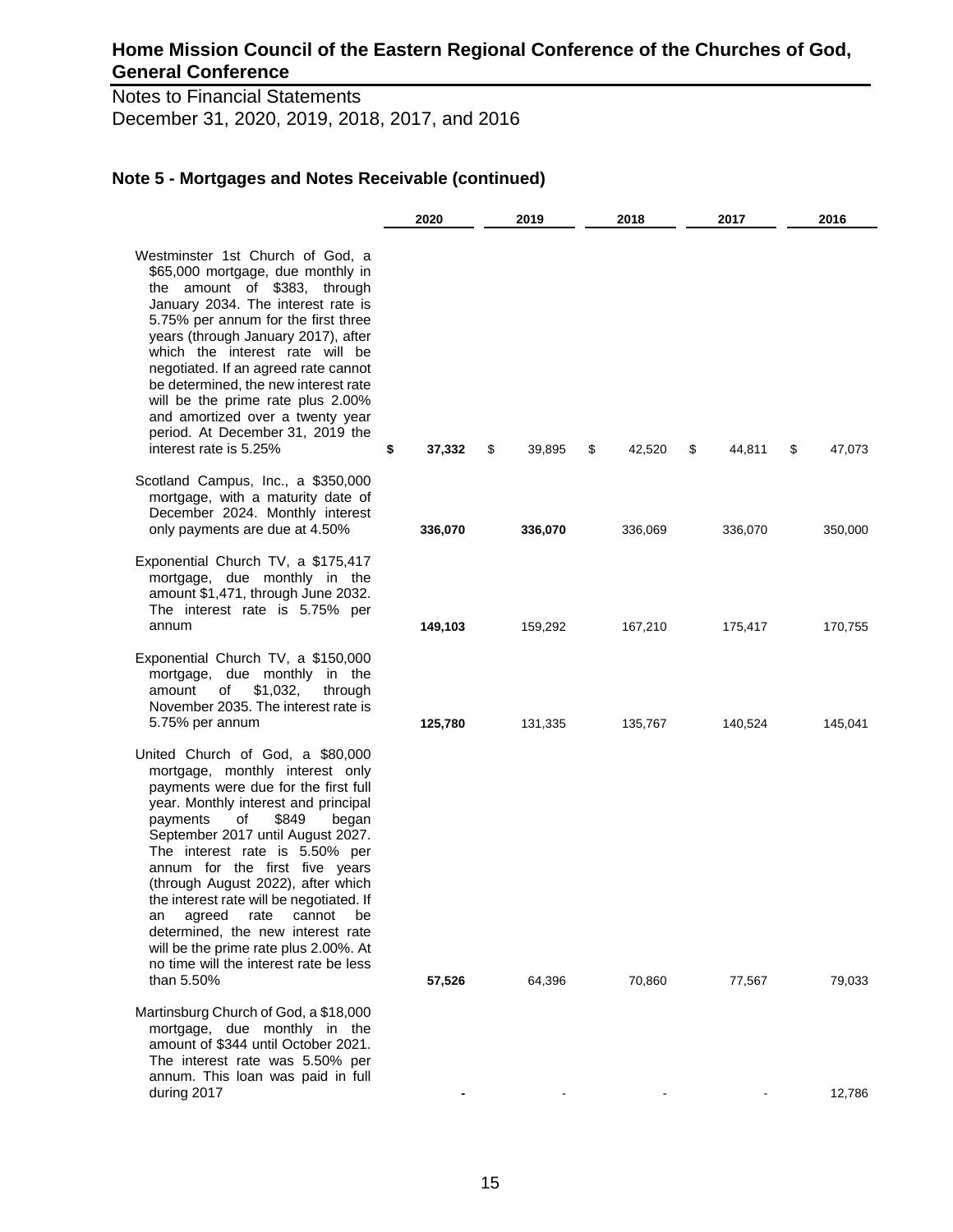Notes to Financial Statements December 31, 2020, 2019, 2018, 2017, and 2016

|                                                                                                                                                                                                                                                                                                                                                                                                                                                                                                                                                                  | 2020         | 2019         | 2018<br>2017 |              | 2016         |
|------------------------------------------------------------------------------------------------------------------------------------------------------------------------------------------------------------------------------------------------------------------------------------------------------------------------------------------------------------------------------------------------------------------------------------------------------------------------------------------------------------------------------------------------------------------|--------------|--------------|--------------|--------------|--------------|
| Westminster 1st Church of God, a<br>\$65,000 mortgage, due monthly in<br>the amount of \$383, through<br>January 2034. The interest rate is<br>5.75% per annum for the first three<br>years (through January 2017), after<br>which the interest rate will be<br>negotiated. If an agreed rate cannot<br>be determined, the new interest rate<br>will be the prime rate plus 2.00%<br>and amortized over a twenty year<br>period. At December 31, 2019 the<br>interest rate is 5.25%                                                                              | 37,332<br>\$ | \$<br>39,895 | \$<br>42,520 | \$<br>44,811 | \$<br>47,073 |
| Scotland Campus, Inc., a \$350,000<br>mortgage, with a maturity date of<br>December 2024. Monthly interest<br>only payments are due at 4.50%                                                                                                                                                                                                                                                                                                                                                                                                                     | 336,070      | 336,070      | 336,069      | 336,070      | 350,000      |
| Exponential Church TV, a \$175,417<br>mortgage, due monthly in the<br>amount \$1,471, through June 2032.<br>The interest rate is 5.75% per<br>annum                                                                                                                                                                                                                                                                                                                                                                                                              | 149,103      | 159,292      | 167,210      | 175,417      | 170,755      |
| Exponential Church TV, a \$150,000<br>mortgage, due monthly in the<br>amount<br>οf<br>\$1,032,<br>through<br>November 2035. The interest rate is<br>5.75% per annum                                                                                                                                                                                                                                                                                                                                                                                              | 125,780      | 131,335      | 135,767      | 140,524      | 145,041      |
| United Church of God, a \$80,000<br>mortgage, monthly interest only<br>payments were due for the first full<br>year. Monthly interest and principal<br>\$849<br>payments<br>οf<br>began<br>September 2017 until August 2027.<br>The interest rate is 5.50% per<br>annum for the first five years<br>(through August 2022), after which<br>the interest rate will be negotiated. If<br>agreed<br>rate<br>cannot<br>be<br>an<br>determined, the new interest rate<br>will be the prime rate plus 2.00%. At<br>no time will the interest rate be less<br>than 5.50% | 57,526       | 64,396       | 70,860       | 77,567       | 79,033       |
| Martinsburg Church of God, a \$18,000<br>mortgage, due monthly in the<br>amount of \$344 until October 2021.<br>The interest rate was 5.50% per<br>annum. This loan was paid in full<br>during 2017                                                                                                                                                                                                                                                                                                                                                              |              |              |              |              | 12,786       |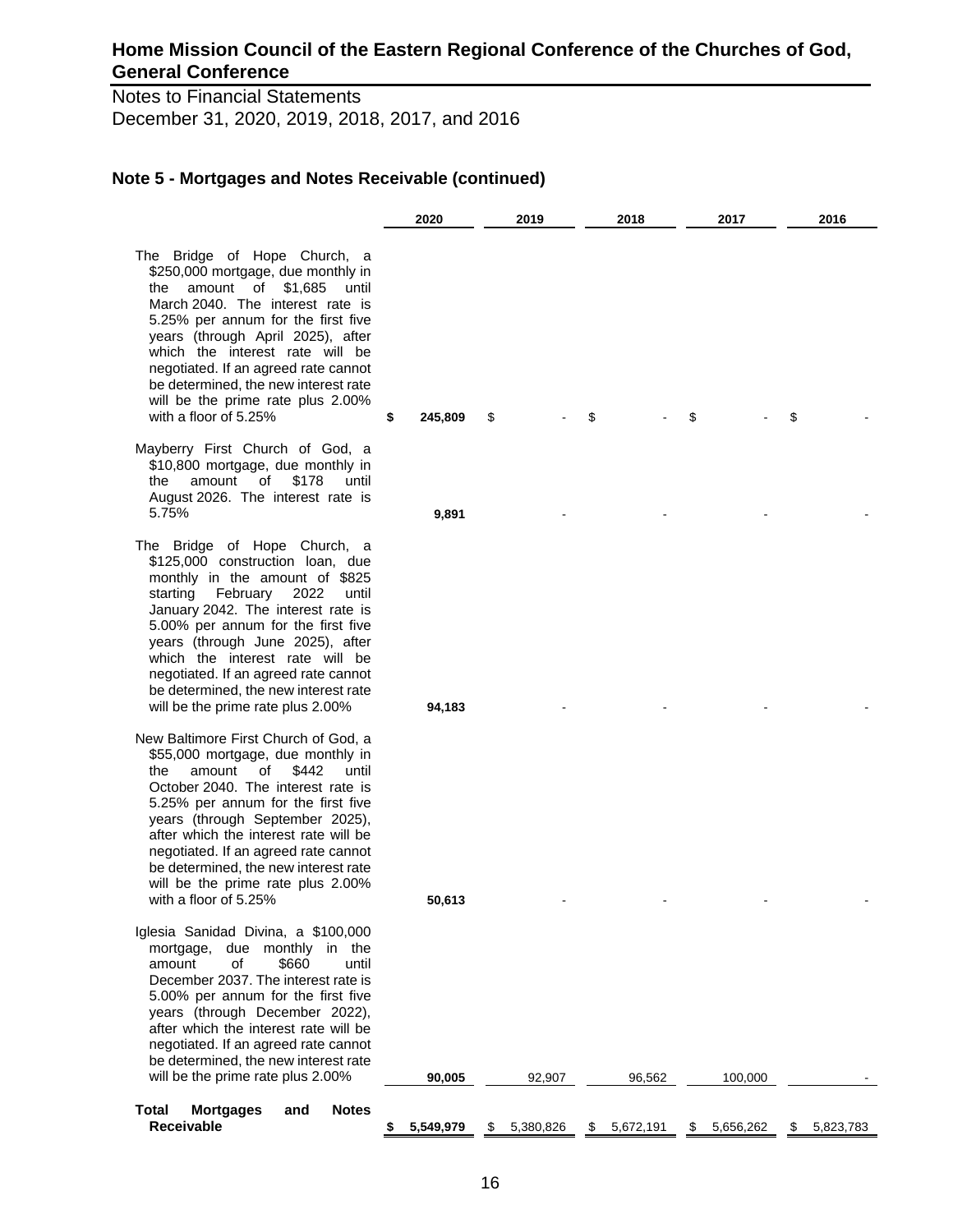Notes to Financial Statements December 31, 2020, 2019, 2018, 2017, and 2016

|                                                                                                                                                                                                                                                                                                                                                                                                                          | 2020        |         | 2019        | 2018            | 2017            | 2016            |
|--------------------------------------------------------------------------------------------------------------------------------------------------------------------------------------------------------------------------------------------------------------------------------------------------------------------------------------------------------------------------------------------------------------------------|-------------|---------|-------------|-----------------|-----------------|-----------------|
| The Bridge of Hope Church, a<br>\$250,000 mortgage, due monthly in<br>amount of \$1,685<br>the<br>until<br>March 2040. The interest rate is<br>5.25% per annum for the first five<br>years (through April 2025), after<br>which the interest rate will be<br>negotiated. If an agreed rate cannot<br>be determined, the new interest rate<br>will be the prime rate plus 2.00%<br>with a floor of 5.25%                  | \$          | 245,809 | \$          | \$              | \$              | \$              |
| Mayberry First Church of God, a<br>\$10,800 mortgage, due monthly in<br>of<br>\$178<br>the<br>amount<br>until<br>August 2026. The interest rate is<br>5.75%                                                                                                                                                                                                                                                              |             | 9,891   |             |                 |                 |                 |
| The Bridge of Hope Church, a<br>\$125,000 construction loan, due<br>monthly in the amount of \$825<br>starting February 2022<br>until<br>January 2042. The interest rate is<br>5.00% per annum for the first five<br>years (through June 2025), after<br>which the interest rate will be<br>negotiated. If an agreed rate cannot<br>be determined, the new interest rate<br>will be the prime rate plus 2.00%            |             | 94,183  |             |                 |                 |                 |
| New Baltimore First Church of God, a<br>\$55,000 mortgage, due monthly in<br>amount<br>of<br>\$442<br>the<br>until<br>October 2040. The interest rate is<br>5.25% per annum for the first five<br>years (through September 2025),<br>after which the interest rate will be<br>negotiated. If an agreed rate cannot<br>be determined, the new interest rate<br>will be the prime rate plus 2.00%<br>with a floor of 5.25% |             | 50,613  |             |                 |                 |                 |
| Iglesia Sanidad Divina, a \$100,000<br>mortgage, due monthly in the<br>\$660<br>amount<br>of<br>until<br>December 2037. The interest rate is<br>5.00% per annum for the first five<br>years (through December 2022),<br>after which the interest rate will be<br>negotiated. If an agreed rate cannot<br>be determined, the new interest rate<br>will be the prime rate plus 2.00%                                       |             | 90,005  | 92,907      | 96,562          | 100,000         |                 |
| Total<br><b>Mortgages</b><br><b>Notes</b><br>and<br><b>Receivable</b>                                                                                                                                                                                                                                                                                                                                                    | \$5,549,979 |         | \$5,380,826 | \$<br>5,672,191 | \$<br>5,656,262 | \$<br>5,823,783 |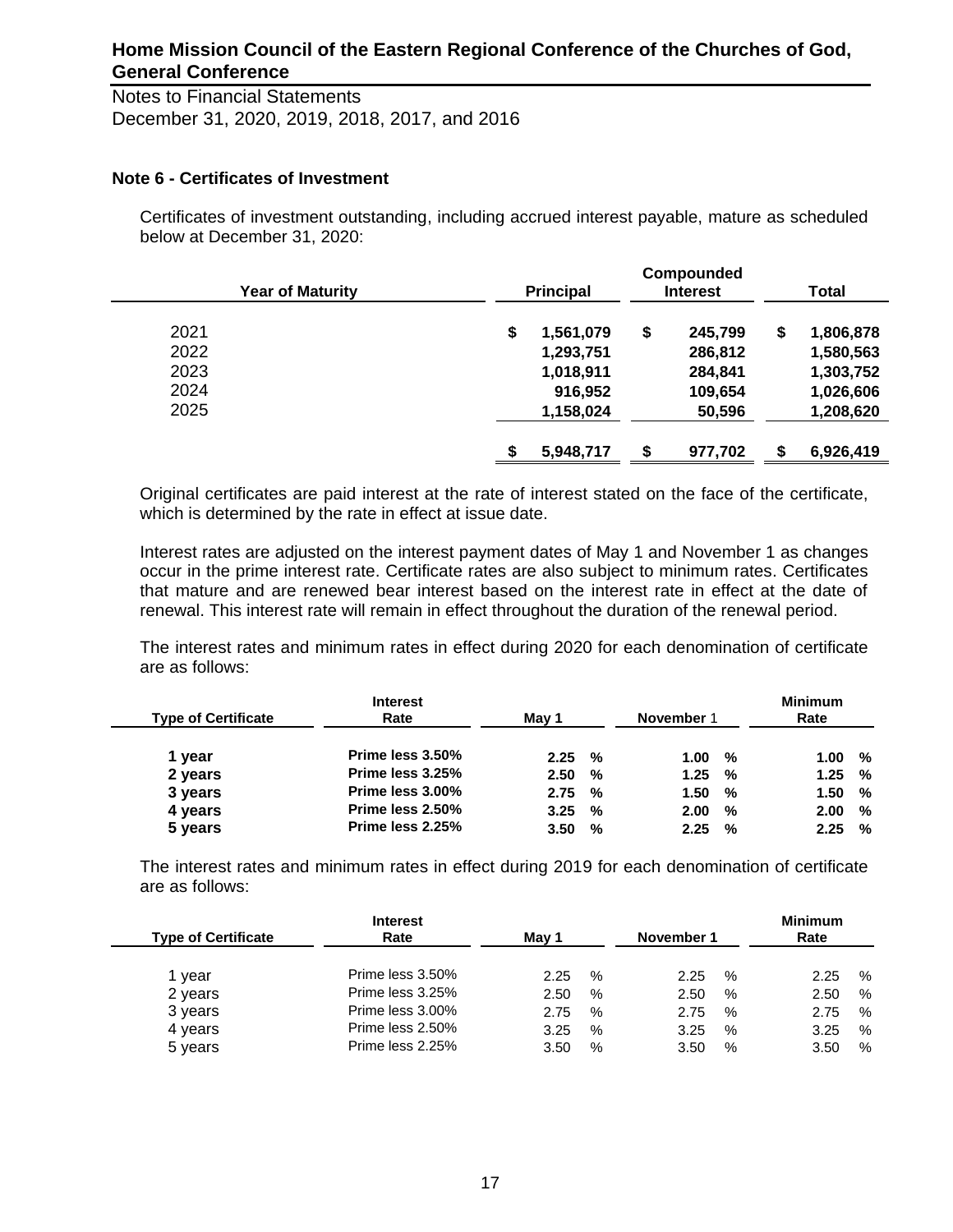Notes to Financial Statements December 31, 2020, 2019, 2018, 2017, and 2016

### **Note 6 - Certificates of Investment**

Certificates of investment outstanding, including accrued interest payable, mature as scheduled below at December 31, 2020:

| <b>Year of Maturity</b> |     | <b>Principal</b> | Compounded<br><b>Interest</b> | <b>Total</b>    |
|-------------------------|-----|------------------|-------------------------------|-----------------|
| 2021                    | \$  | 1,561,079        | \$<br>245,799                 | \$<br>1,806,878 |
| 2022                    |     | 1,293,751        | 286,812                       | 1,580,563       |
| 2023                    |     | 1,018,911        | 284,841                       | 1,303,752       |
| 2024                    |     | 916,952          | 109,654                       | 1,026,606       |
| 2025                    |     | 1,158,024        | 50,596                        | 1,208,620       |
|                         | \$. | 5,948,717        | \$<br>977,702                 | \$<br>6,926,419 |

Original certificates are paid interest at the rate of interest stated on the face of the certificate, which is determined by the rate in effect at issue date.

Interest rates are adjusted on the interest payment dates of May 1 and November 1 as changes occur in the prime interest rate. Certificate rates are also subject to minimum rates. Certificates that mature and are renewed bear interest based on the interest rate in effect at the date of renewal. This interest rate will remain in effect throughout the duration of the renewal period.

The interest rates and minimum rates in effect during 2020 for each denomination of certificate are as follows:

| <b>Interest</b><br>Rate | Mav 1 |   |      |   | <b>Minimum</b><br>Rate |   |
|-------------------------|-------|---|------|---|------------------------|---|
| Prime less 3.50%        |       | % | 1.00 | % | 1.00                   | % |
| Prime less 3.25%        | 2.50  | % |      | % | 1.25                   | % |
| Prime less 3.00%        | 2.75  | % | 1.50 | % | 1.50                   | % |
| Prime less 2.50%        | 3.25  | % | 2.00 | % | 2.00                   | % |
| Prime less 2.25%        | 3.50  | % | 2.25 | % | 2.25                   | % |
|                         |       |   | 2.25 |   | November 1<br>1.25     |   |

The interest rates and minimum rates in effect during 2019 for each denomination of certificate are as follows:

| <b>Type of Certificate</b> | <b>Interest</b><br>Rate | Mav 1 |      | November 1 |               | <b>Minimum</b><br>Rate |   |
|----------------------------|-------------------------|-------|------|------------|---------------|------------------------|---|
| year                       | Prime less 3.50%        | 2.25  | $\%$ | 2.25       | $\%$          | 2.25                   | % |
| 2 years                    | Prime less 3.25%        | 2.50  | $\%$ | 2.50       | $\%$          | 2.50                   | % |
| 3 years                    | Prime less 3.00%        | 2.75  | $\%$ | 2.75       | $\frac{0}{0}$ | 2.75                   | % |
| 4 years                    | Prime less 2.50%        | 3.25  | %    | 3.25       | $\%$          | 3.25                   | % |
| 5 years                    | Prime less 2.25%        | 3.50  | $\%$ | 3.50       | %             | 3.50                   | % |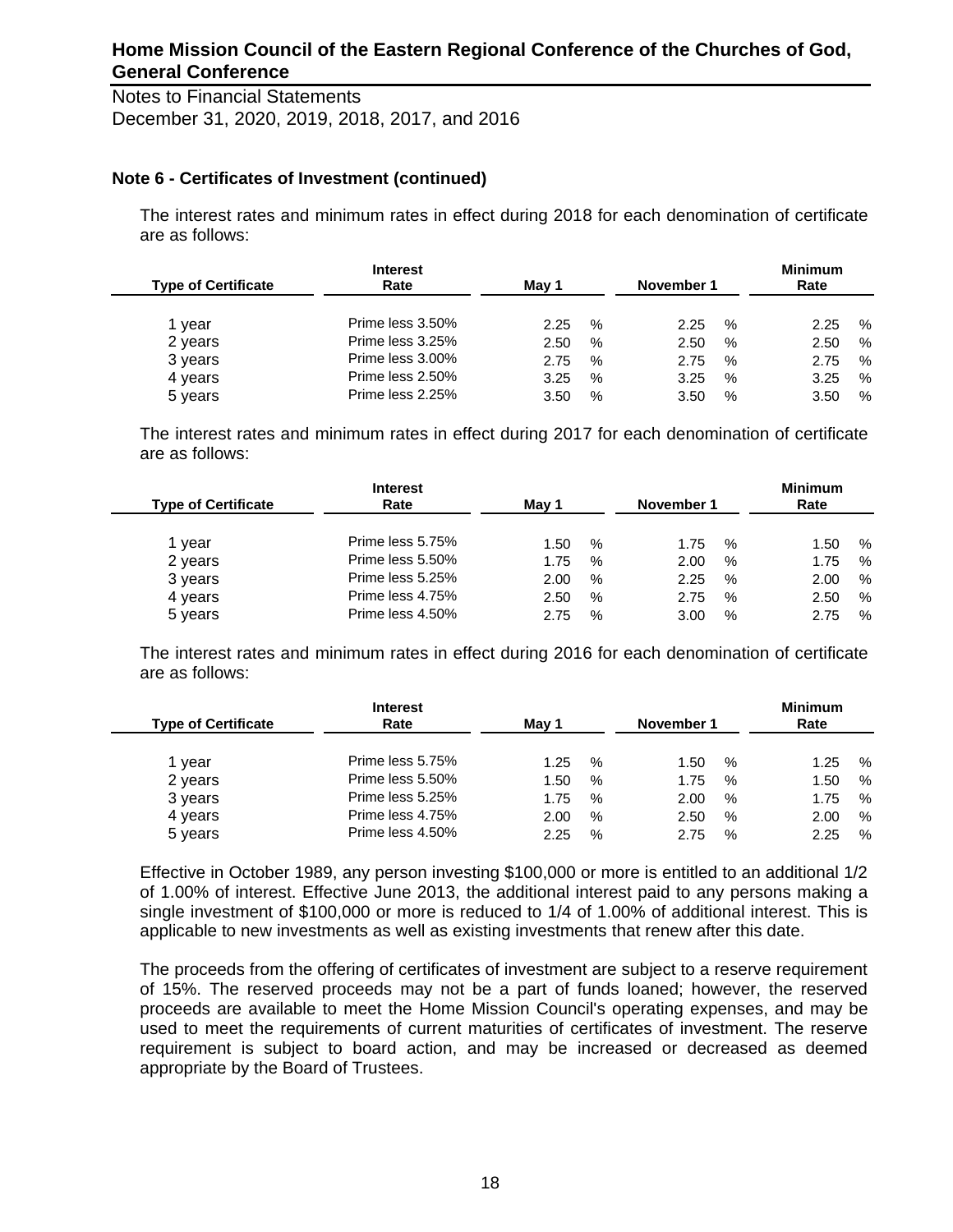Notes to Financial Statements December 31, 2020, 2019, 2018, 2017, and 2016

### **Note 6 - Certificates of Investment (continued)**

The interest rates and minimum rates in effect during 2018 for each denomination of certificate are as follows:

| <b>Type of Certificate</b> | <b>Interest</b><br>Rate |      |               | November 1 |      | <b>Minimum</b><br>Rate |      |  |
|----------------------------|-------------------------|------|---------------|------------|------|------------------------|------|--|
| vear                       | Prime less 3.50%        | 2.25 | $\%$          | 2.25       | %    | 2.25                   | $\%$ |  |
| 2 years                    | Prime less 3.25%        | 2.50 | $\%$          | 2.50       | $\%$ | 2.50                   | %    |  |
| 3 years                    | Prime less 3.00%        | 2.75 | $\%$          | 2.75       | $\%$ | 2.75                   | %    |  |
| 4 years                    | Prime less 2.50%        | 3.25 | $\frac{0}{0}$ | 3.25       | $\%$ | 3.25                   | $\%$ |  |
| 5 years                    | Prime less 2.25%        | 3.50 | %             | 3.50       | %    | 3.50                   | %    |  |

The interest rates and minimum rates in effect during 2017 for each denomination of certificate are as follows:

| <b>Type of Certificate</b> | <b>Interest</b><br>Rate | May 1 |      | November 1 |      | <b>Minimum</b><br>Rate |   |
|----------------------------|-------------------------|-------|------|------------|------|------------------------|---|
| 1 vear                     | Prime less 5.75%        | 1.50  | $\%$ | 1.75       | $\%$ | 1.50                   | % |
| 2 years                    | Prime less 5.50%        | 1.75  | $\%$ | 2.00       | %    | 1.75                   | % |
| 3 years                    | Prime less 5.25%        | 2.00  | $\%$ | 2.25       | %    | 2.00                   | % |
| 4 years                    | Prime less 4.75%        | 2.50  | %    | 2.75       | %    | 2.50                   | % |
| 5 years                    | Prime less 4.50%        | 2.75  | $\%$ | 3.00       | %    | 2.75                   | % |

The interest rates and minimum rates in effect during 2016 for each denomination of certificate are as follows:

| <b>Type of Certificate</b> | <b>Interest</b><br>Rate | May 1 |   | November 1 |   | <b>Minimum</b><br>Rate |      |
|----------------------------|-------------------------|-------|---|------------|---|------------------------|------|
| 1 year                     | Prime less 5.75%        | 1.25  | % | 1.50       | % | 1.25                   | $\%$ |
| 2 years                    | Prime less 5.50%        | 1.50  | % | 1.75       | % | 1.50                   | $\%$ |
| 3 years                    | Prime less 5.25%        | 1.75  | % | 2.00       | % | 1.75                   | $\%$ |
| 4 years                    | Prime less 4.75%        | 2.00  | % | 2.50       | % | 2.00                   | %    |
| 5 years                    | Prime less 4.50%        | 2.25  | % | 2.75       | % | 2.25                   | %    |

Effective in October 1989, any person investing \$100,000 or more is entitled to an additional 1/2 of 1.00% of interest. Effective June 2013, the additional interest paid to any persons making a single investment of \$100,000 or more is reduced to 1/4 of 1.00% of additional interest. This is applicable to new investments as well as existing investments that renew after this date.

The proceeds from the offering of certificates of investment are subject to a reserve requirement of 15%. The reserved proceeds may not be a part of funds loaned; however, the reserved proceeds are available to meet the Home Mission Council's operating expenses, and may be used to meet the requirements of current maturities of certificates of investment. The reserve requirement is subject to board action, and may be increased or decreased as deemed appropriate by the Board of Trustees.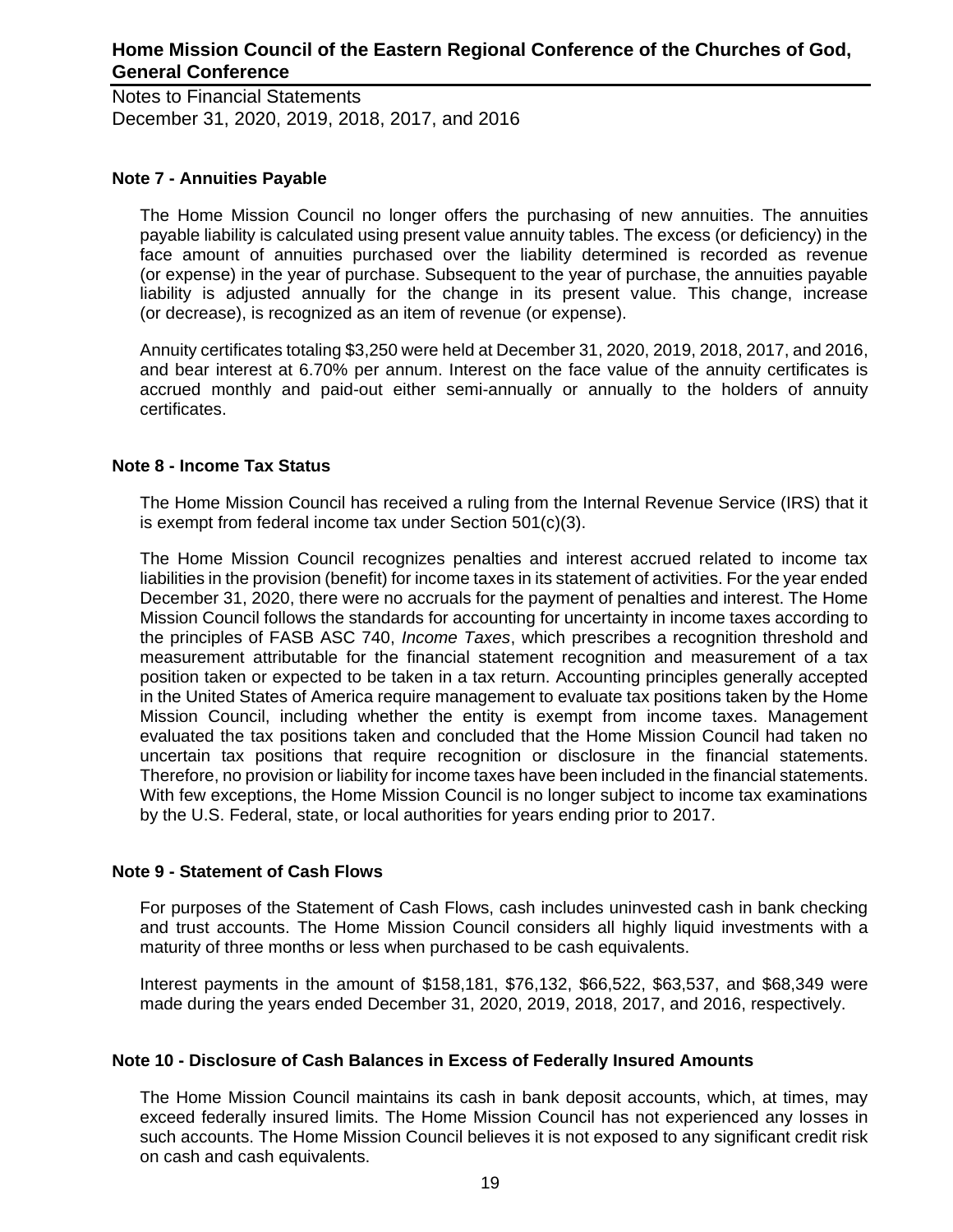Notes to Financial Statements December 31, 2020, 2019, 2018, 2017, and 2016

### **Note 7 - Annuities Payable**

The Home Mission Council no longer offers the purchasing of new annuities. The annuities payable liability is calculated using present value annuity tables. The excess (or deficiency) in the face amount of annuities purchased over the liability determined is recorded as revenue (or expense) in the year of purchase. Subsequent to the year of purchase, the annuities payable liability is adjusted annually for the change in its present value. This change, increase (or decrease), is recognized as an item of revenue (or expense).

Annuity certificates totaling \$3,250 were held at December 31, 2020, 2019, 2018, 2017, and 2016, and bear interest at 6.70% per annum. Interest on the face value of the annuity certificates is accrued monthly and paid-out either semi-annually or annually to the holders of annuity certificates.

### **Note 8 - Income Tax Status**

The Home Mission Council has received a ruling from the Internal Revenue Service (IRS) that it is exempt from federal income tax under Section 501(c)(3).

The Home Mission Council recognizes penalties and interest accrued related to income tax liabilities in the provision (benefit) for income taxes in its statement of activities. For the year ended December 31, 2020, there were no accruals for the payment of penalties and interest. The Home Mission Council follows the standards for accounting for uncertainty in income taxes according to the principles of FASB ASC 740, *Income Taxes*, which prescribes a recognition threshold and measurement attributable for the financial statement recognition and measurement of a tax position taken or expected to be taken in a tax return. Accounting principles generally accepted in the United States of America require management to evaluate tax positions taken by the Home Mission Council, including whether the entity is exempt from income taxes. Management evaluated the tax positions taken and concluded that the Home Mission Council had taken no uncertain tax positions that require recognition or disclosure in the financial statements. Therefore, no provision or liability for income taxes have been included in the financial statements. With few exceptions, the Home Mission Council is no longer subject to income tax examinations by the U.S. Federal, state, or local authorities for years ending prior to 2017.

#### **Note 9 - Statement of Cash Flows**

For purposes of the Statement of Cash Flows, cash includes uninvested cash in bank checking and trust accounts. The Home Mission Council considers all highly liquid investments with a maturity of three months or less when purchased to be cash equivalents.

Interest payments in the amount of \$158,181, \$76,132, \$66,522, \$63,537, and \$68,349 were made during the years ended December 31, 2020, 2019, 2018, 2017, and 2016, respectively.

#### **Note 10 - Disclosure of Cash Balances in Excess of Federally Insured Amounts**

The Home Mission Council maintains its cash in bank deposit accounts, which, at times, may exceed federally insured limits. The Home Mission Council has not experienced any losses in such accounts. The Home Mission Council believes it is not exposed to any significant credit risk on cash and cash equivalents.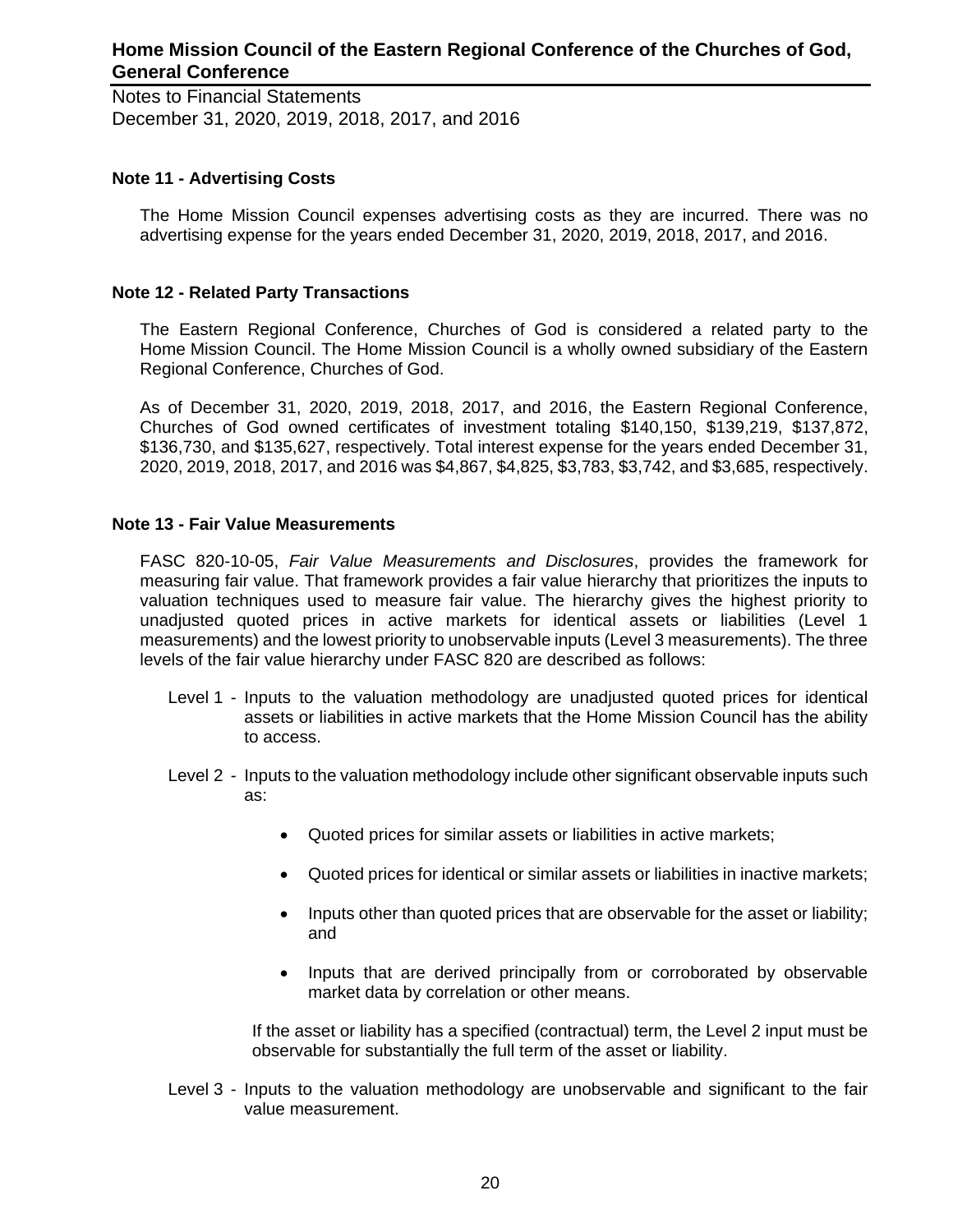Notes to Financial Statements December 31, 2020, 2019, 2018, 2017, and 2016

### **Note 11 - Advertising Costs**

The Home Mission Council expenses advertising costs as they are incurred. There was no advertising expense for the years ended December 31, 2020, 2019, 2018, 2017, and 2016.

#### **Note 12 - Related Party Transactions**

The Eastern Regional Conference, Churches of God is considered a related party to the Home Mission Council. The Home Mission Council is a wholly owned subsidiary of the Eastern Regional Conference, Churches of God.

As of December 31, 2020, 2019, 2018, 2017, and 2016, the Eastern Regional Conference, Churches of God owned certificates of investment totaling \$140,150, \$139,219, \$137,872, \$136,730, and \$135,627, respectively. Total interest expense for the years ended December 31, 2020, 2019, 2018, 2017, and 2016 was \$4,867, \$4,825, \$3,783, \$3,742, and \$3,685, respectively.

### **Note 13 - Fair Value Measurements**

FASC 820-10-05, *Fair Value Measurements and Disclosures*, provides the framework for measuring fair value. That framework provides a fair value hierarchy that prioritizes the inputs to valuation techniques used to measure fair value. The hierarchy gives the highest priority to unadjusted quoted prices in active markets for identical assets or liabilities (Level 1 measurements) and the lowest priority to unobservable inputs (Level 3 measurements). The three levels of the fair value hierarchy under FASC 820 are described as follows:

- Level 1 Inputs to the valuation methodology are unadjusted quoted prices for identical assets or liabilities in active markets that the Home Mission Council has the ability to access.
- Level 2 Inputs to the valuation methodology include other significant observable inputs such as:
	- Quoted prices for similar assets or liabilities in active markets;
	- Quoted prices for identical or similar assets or liabilities in inactive markets;
	- Inputs other than quoted prices that are observable for the asset or liability; and
	- Inputs that are derived principally from or corroborated by observable market data by correlation or other means.

If the asset or liability has a specified (contractual) term, the Level 2 input must be observable for substantially the full term of the asset or liability.

Level 3 - Inputs to the valuation methodology are unobservable and significant to the fair value measurement.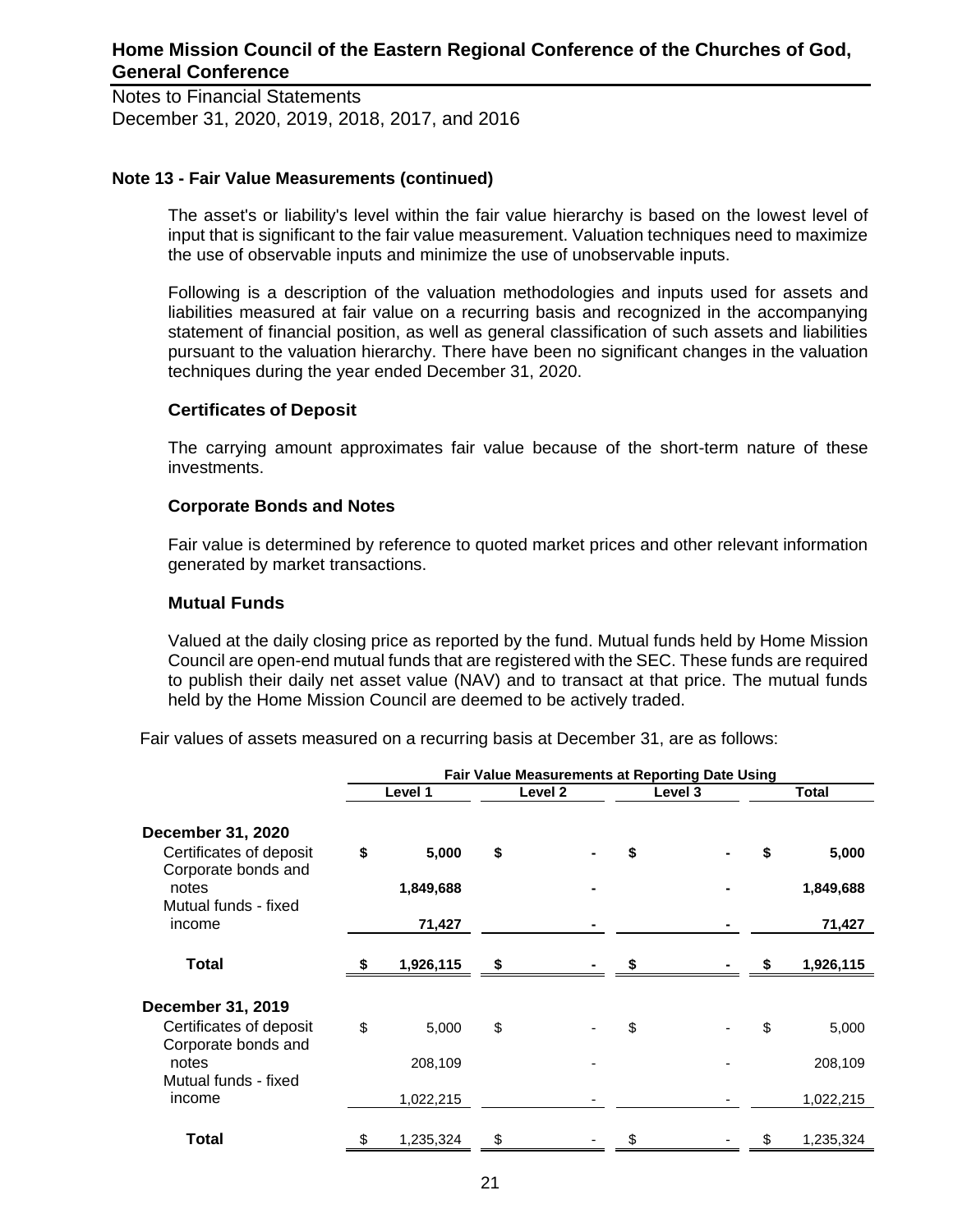Notes to Financial Statements December 31, 2020, 2019, 2018, 2017, and 2016

### **Note 13 - Fair Value Measurements (continued)**

The asset's or liability's level within the fair value hierarchy is based on the lowest level of input that is significant to the fair value measurement. Valuation techniques need to maximize the use of observable inputs and minimize the use of unobservable inputs.

Following is a description of the valuation methodologies and inputs used for assets and liabilities measured at fair value on a recurring basis and recognized in the accompanying statement of financial position, as well as general classification of such assets and liabilities pursuant to the valuation hierarchy. There have been no significant changes in the valuation techniques during the year ended December 31, 2020.

### **Certificates of Deposit**

The carrying amount approximates fair value because of the short-term nature of these investments.

### **Corporate Bonds and Notes**

Fair value is determined by reference to quoted market prices and other relevant information generated by market transactions.

#### **Mutual Funds**

Valued at the daily closing price as reported by the fund. Mutual funds held by Home Mission Council are open-end mutual funds that are registered with the SEC. These funds are required to publish their daily net asset value (NAV) and to transact at that price. The mutual funds held by the Home Mission Council are deemed to be actively traded.

Fair values of assets measured on a recurring basis at December 31, are as follows:

|                                                                            | Fair Value Measurements at Reporting Date Using |           |    |         |         |  |    |              |
|----------------------------------------------------------------------------|-------------------------------------------------|-----------|----|---------|---------|--|----|--------------|
|                                                                            |                                                 | Level 1   |    | Level 2 | Level 3 |  |    | <b>Total</b> |
| <b>December 31, 2020</b><br>Certificates of deposit<br>Corporate bonds and | \$                                              | 5,000     | \$ |         | \$      |  | \$ | 5,000        |
| notes                                                                      |                                                 | 1,849,688 |    |         |         |  |    | 1,849,688    |
| Mutual funds - fixed<br>income                                             |                                                 | 71,427    |    |         |         |  |    | 71,427       |
| <b>Total</b>                                                               |                                                 | 1,926,115 | \$ |         |         |  |    | 1,926,115    |
| <b>December 31, 2019</b>                                                   |                                                 |           |    |         |         |  |    |              |
| Certificates of deposit<br>Corporate bonds and                             | \$                                              | 5,000     | \$ |         | \$      |  | \$ | 5,000        |
| notes<br>Mutual funds - fixed                                              |                                                 | 208,109   |    |         |         |  |    | 208,109      |
| income                                                                     |                                                 | 1,022,215 |    |         |         |  |    | 1,022,215    |
| Total                                                                      |                                                 | 1,235,324 |    |         |         |  |    | 1,235,324    |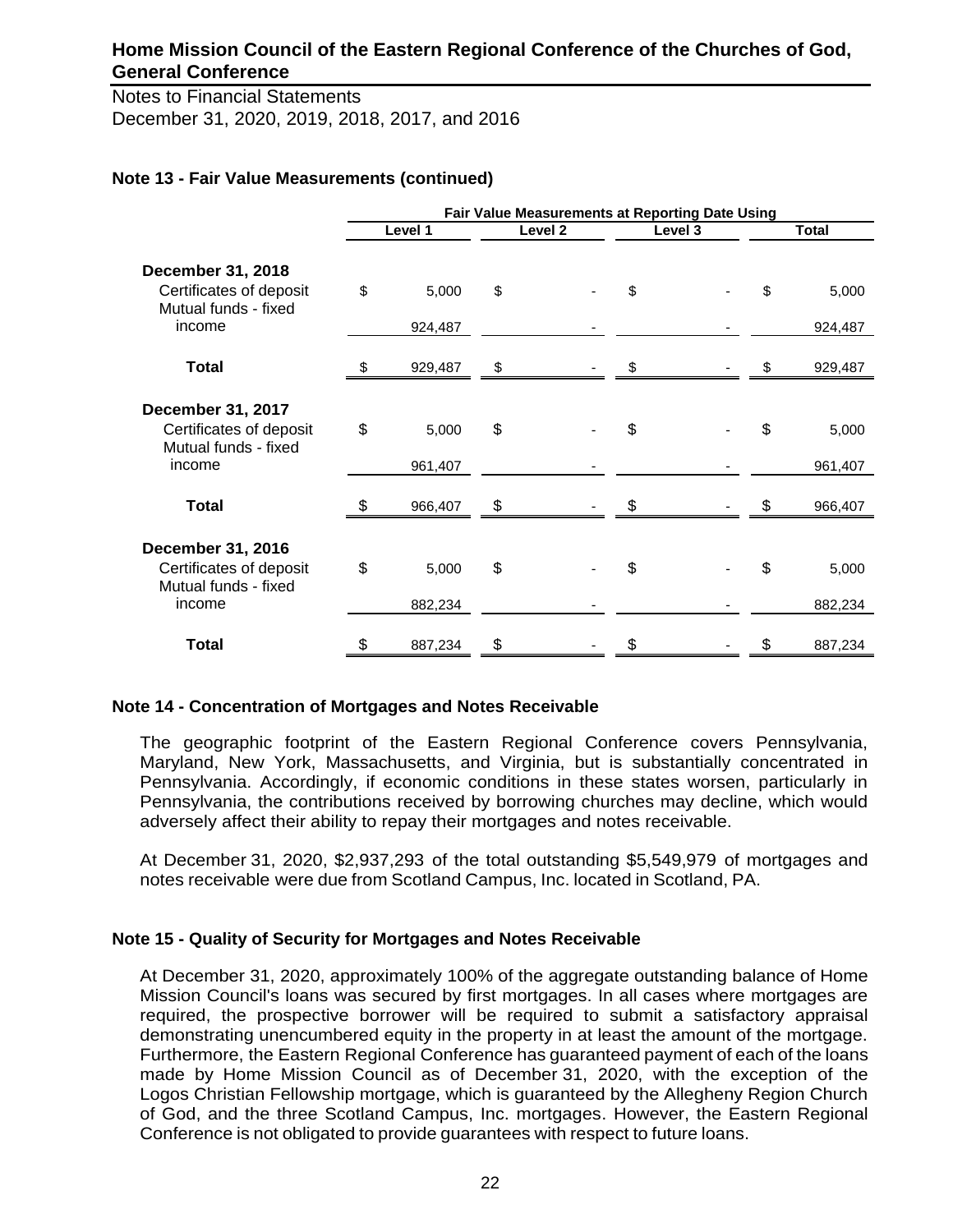Notes to Financial Statements December 31, 2020, 2019, 2018, 2017, and 2016

### **Note 13 - Fair Value Measurements (continued)**

|                                                                             | Fair Value Measurements at Reporting Date Using |         |    |         |         |  |    |              |
|-----------------------------------------------------------------------------|-------------------------------------------------|---------|----|---------|---------|--|----|--------------|
|                                                                             |                                                 | Level 1 |    | Level 2 | Level 3 |  |    | <b>Total</b> |
| <b>December 31, 2018</b><br>Certificates of deposit                         | \$                                              | 5,000   | \$ |         | \$      |  | \$ | 5,000        |
| Mutual funds - fixed<br>income                                              |                                                 | 924,487 |    |         |         |  |    | 924,487      |
| <b>Total</b>                                                                |                                                 | 929,487 | \$ |         | \$      |  | \$ | 929,487      |
| <b>December 31, 2017</b><br>Certificates of deposit<br>Mutual funds - fixed | \$                                              | 5,000   | \$ |         | \$      |  | \$ | 5,000        |
| income                                                                      |                                                 | 961,407 |    |         |         |  |    | 961,407      |
| <b>Total</b>                                                                |                                                 | 966,407 | \$ |         |         |  |    | 966,407      |
| December 31, 2016<br>Certificates of deposit<br>Mutual funds - fixed        | \$                                              | 5,000   | \$ |         | \$      |  | \$ | 5,000        |
| income                                                                      |                                                 | 882,234 |    |         |         |  |    | 882,234      |
| <b>Total</b>                                                                | \$                                              | 887,234 | \$ |         | \$      |  | \$ | 887,234      |

#### **Note 14 - Concentration of Mortgages and Notes Receivable**

The geographic footprint of the Eastern Regional Conference covers Pennsylvania, Maryland, New York, Massachusetts, and Virginia, but is substantially concentrated in Pennsylvania. Accordingly, if economic conditions in these states worsen, particularly in Pennsylvania, the contributions received by borrowing churches may decline, which would adversely affect their ability to repay their mortgages and notes receivable.

At December 31, 2020, \$2,937,293 of the total outstanding \$5,549,979 of mortgages and notes receivable were due from Scotland Campus, Inc. located in Scotland, PA.

#### **Note 15 - Quality of Security for Mortgages and Notes Receivable**

At December 31, 2020, approximately 100% of the aggregate outstanding balance of Home Mission Council's loans was secured by first mortgages. In all cases where mortgages are required, the prospective borrower will be required to submit a satisfactory appraisal demonstrating unencumbered equity in the property in at least the amount of the mortgage. Furthermore, the Eastern Regional Conference has guaranteed payment of each of the loans made by Home Mission Council as of December 31, 2020, with the exception of the Logos Christian Fellowship mortgage, which is guaranteed by the Allegheny Region Church of God, and the three Scotland Campus, Inc. mortgages. However, the Eastern Regional Conference is not obligated to provide guarantees with respect to future loans.